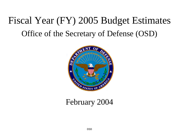# Fiscal Year (FY) 2005 Budget Estimates Office of the Secretary of Defense (OSD)



## February 2004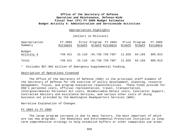#### Appropriation Highlights

#### (Dollars in Millions)

| Appropriation | FY 2003  |        | Price Program FY 2004             |        | Price Program | FY 2005  |
|---------------|----------|--------|-----------------------------------|--------|---------------|----------|
| Summary       | Estimate | Growth | Growth Estimate                   | Growth | Growth        | Estimate |
| Budget        |          |        |                                   |        |               |          |
| Activity 4    | 749.421  |        | 15.110 -34.736 729.795* 11.825    |        | 64.193        | 805.813  |
|               |          |        |                                   |        |               |          |
| Total         | 749.421  |        | $15.110 - 34.736 729.795* 11.825$ |        | 64.193        | 805.813  |

\* Excludes \$57.902 million of Emergency Supplemental funding.

## Description of Operations Financed

The Office of the Secretary of Defense (OSD) is the principal staff element of the Secretary of Defense for the exercise of policy development, planning, resource management, fiscal, and program evaluation responsibilities. These funds provide for OSD's personnel costs, official representation, travel, transportation, Intergovernmental Personnel Act costs, Reimbursable Detail costs, Contractor Support, Contracted Advisory and Assistance Services, and various other costs of doing business not provided by the Washington Headquarters Services (WHS).

#### Narrative Explanation of Changes

#### FY 2004 to FY 2005

The large program increase is due to many factors, the most important of which are two new programs: the Readiness and Environmental Protection Initiative (a longterm comprehensive strategy to help establish buffers or other compatible use areas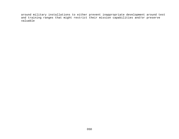around military installations to either prevent inappropriate development around test and training ranges that might restrict their mission capabilities and/or preserve valuable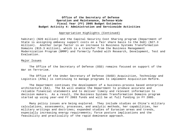#### Appropriation Highlights (Continued)

habitat) (\$20 million) and the Capital Security Cost Sharing program (Department of State is assigning embassy support costs on a fair share basis to the DoD) (\$27.3 million). Another large factor is an increase to Business Systems Transformation Domains (\$15.3 million), which is a transfer from the Business Management Modernization Program (BMMP) and formerly funded with Research, Development, Test and Evaluation.

#### Major Issues

The Office of the Secretary of Defense (OSD) remains focused on support of the War on Terrorism.

The Office of the Under Secretary of Defense (OUSD) Acquisition, Technology and Logistics (AT&L) is continuing to manage programs to implement Acquisition Reform.

The Department continues the development of a business-process based enterprise architecture (EA). The EA will enable the Department to produce accurate and reliable financial statements and to deliver timely and relevant information to decision makers. As a result, the Business Systems Transformation Domains program started up using year-end FY 2003 funds and will be at full funding in FY 2005.

Many policy issues are being explored. They include studies on China's military calculations, assessments, processes, and analytic methods, her capabilities, her military writings and doctrines; expanded studies of Eurasian areas and trends, especially increasing energy requirements; force posture implications and the feasibility and practicality of the rapid dominance approach.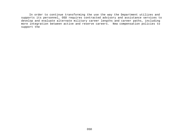In order to continue transforming the use the way the Department utilizes and supports its personnel, OSD requires contracted advisory and assistance services to develop and evaluate alternate military career lengths and career paths, including more integration between active and reserve careers. New compensation policies to support the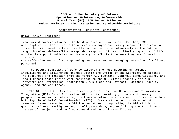## Appropriation Highlights (Continued)

#### Major Issues (Continued

transformed careers also need to be developed and evaluated. Further, OSD must explore further policies to underpin employer and family support for a reserve force that will need different skills and be used more intensively in the future (e.g., homeland defense/first-responder responsibilities). Finally, quality of life and family support policies require analytic efforts to ensure they are focused on the most cost-effective means of strengthening readiness and encouraging retention of military

personnel.

The Deputy Secretary of Defense directed the restructuring of Defense intelligence and implemented changes within the Office of the Secretary of Defense. The resources and manpower from the former ASD (Command, Control, Communications, and Intelligence) organization were realigned to the USD (Intelligence), the ASD (Networks and Information Integration), ASD (Homeland Defense), National Security Agency, and the Air Force.

The Office of the Assistant Secretary of Defense for Networks and Information Integration (NII) Chief Information Officer is providing guidance and oversight of programs to support accelerating the transformation to a net-centric force to include building the Global-Information-Grid (GIG) infrastructure to provide a robust transport layer, securing the GIG from end-to-end, populating the GIG with high quality business, warfighter and intelligence data, and exploiting the GIG through the use of new joint and unified command and control capabilities.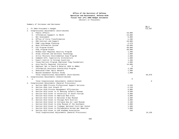Summary of Increases and Decreases

|    |                |                                                             |           | BA 4      |
|----|----------------|-------------------------------------------------------------|-----------|-----------|
|    |                | 1. FY 2004 President's Budget                               |           | 712,567   |
|    |                | Congressional Adjustments (Distributed)                     |           |           |
|    |                | a. Public Affairs                                           | $-10,000$ |           |
|    | b.             | Information Suppport to SOLIC                               | $-13,000$ |           |
|    |                | c. Net Assessment                                           | $-5,000$  |           |
|    |                | d. Office of Force Transformation                           | $-1,200$  |           |
|    | e.             | OSD Contract and Support                                    | $-10,000$ |           |
|    | f.             | PA&E Long-Range Planning                                    | $-2,579$  |           |
|    | q.             | Base Information System                                     | $-10,000$ |           |
|    | h.             | C4I Program Growth                                          | $-30,000$ |           |
|    | i.             | AT&L Program Growth                                         | $-30,000$ |           |
|    | j.             | Middle East Regional Security Program                       | 1,400     |           |
|    | k.             | Study Internet and Wireless Technology                      | 1,000     |           |
|    | 1.             | Arctic Military Environmental Coop Program                  | 2,500     |           |
|    | $m$ .          | Command Info. Superiority Architecture                      | 1,000     |           |
|    | n.             | Export Control to Foreign Countries                         | 1,400     |           |
|    | $\circ$ .      | Young Patriots Program (National Flag Foundation)           | 1,000     |           |
|    | $p$ .          | Asia Pacific Regional Initiative                            | 14,000    |           |
|    | q.             | Employer Spt to Guard & Reserve (\$2M to DHRA)              | 0         |           |
|    | r.             | Information Assurance Scholarship Program                   | 2,100     |           |
|    | $s$ .          | Dedicated Fiber Optic Network                               | 1,500     |           |
|    | t.             | Beyond Goldwater-Nichols Study                              | 1,000     |           |
|    |                | Total Congressional Adjustments (Distributed)               |           | $-84.879$ |
| 3. |                | Congressional Adjustments (Undistributed)                   |           |           |
|    | a.             |                                                             | 0         |           |
|    |                | Total Congressional Adjustments (Undistributed)             |           | $\Omega$  |
| 4. |                | Congressional Adjustments (General Provisions)              |           |           |
|    |                | a. Section 8094 Prorate Professional Support Services       | $-3,520$  |           |
|    |                | b. Section 8101 Cost Growth IT                              | $-2,110$  |           |
|    | $\mathbf{C}$ . | Section 8126 Prorate Management Efficiencies                | $-3,000$  |           |
|    | d.             | Section 8112 Grant to Ft Benning Infantry Museum            | 8,500     |           |
|    | e.             | Section 8112 Grant to University of South Florida           | 6,000     |           |
|    | f.             | Section 8112 Grant to American Red Cross                    | 5,000     |           |
|    | g.             | Section 8112 Grant to National D-Day Museum                 | 3,500     |           |
|    | h.             | Section 8112 Grant to Chicago Park District                 | 3,000     |           |
|    | i.             | Section 8112 Grant to Intrepid Sea Air Land Museum          | 2,100     |           |
|    | i.             | Section 8112 Grant to Army Museum of the Southwest          | 2,000     |           |
|    |                | k. Section 8112 Grant to Tredegar National Civil War Center | 1,500     |           |
|    | 1.             | Section 8112 Grant to Philadelphia Korean War Memorial      | 1,000     |           |
|    | $m-$           | Section 8112 Grant to CSS Alabama Association               | 250       |           |
|    |                | Total Congressional Adjustments (General Provisions)        |           | 24.220    |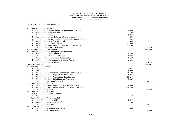Summary of Increases and Decreases

| 5. |                | Congressional Earmarks                                 |             |          |
|----|----------------|--------------------------------------------------------|-------------|----------|
|    | a.             | Section 8044 Indian Lands Environmental Impact         | 10,000      |          |
|    | b.             | Women in Military Service                              | 500         |          |
|    | $\mathsf{c}$ . | Country Study Series                                   | 2,500       |          |
|    | d.             | Black Americans in Defense of the Nation               | 250         |          |
|    | e.             | Prorate Section 8044 Indian Lands Environmental Impact | $-407$      |          |
|    |                | f. Absorb Women in Military Service                    | $-500$      |          |
|    | q.             | Absorb Country Study Series                            | $-2,500$    |          |
|    |                | h. Absorb Black Americans in Defense of the Nation     | $-250$      |          |
|    |                | Total Congressional Earmarks                           |             | 9,593    |
| 6. |                | FY 2004 Appropriated Amount                            |             | 661,501  |
| 7. |                | Fact of Life Changes/Emergent Requirements             |             |          |
|    | а.             | USD (Intelligence) Standup                             | 13,100      |          |
|    |                | b. ASD (Homeland Defense) Standup                      | 6,400       |          |
|    |                | c. Financial Management and Auditability               | 6,147       |          |
|    |                | d. Defense Resource Management Study (DRMS)            | 4,000       |          |
|    |                | Total Fact of Life Changes                             |             | 29,647   |
|    |                | Baseline Funding                                       |             | 691,148  |
| 8. |                | Emergency Supplemental                                 |             |          |
|    |                | a. Centrix (NII)                                       | 7,347       |          |
|    | b.             | GWOT                                                   | 2,900       |          |
|    | $\mathsf{c}$ . | Critical Infrastructure Protection (Homeland Defense)  | 14,500      |          |
|    | d.             | USD(Intelligence) Support to Info. Ops.                | 4,641       |          |
|    |                | e. USD(Intelligence) Technology Development            | 23,199      |          |
|    |                | f. USD(Intelligence) Intelligence Programs             | 5,315       |          |
|    |                | Total Emergency Supplemental                           |             | 57,902   |
| 9. |                | Functional Transfers-In                                |             |          |
|    | а.             | Internet Protocol Version 6 Transition (to NII)        | 8,000       |          |
|    | b.             | Business Systems Transformation Domains from RDT&E     | 25,735      |          |
|    |                | Total Transfers-In                                     |             | 33,735   |
|    |                | 10. Functional Transfers-Out                           |             |          |
|    |                | To Reflect Congressional Intent                        |             |          |
|    |                | a. N/A                                                 | $\mathbf 0$ |          |
|    |                | Other Functional Transfers-Out                         |             |          |
|    |                | a. OSD IT Support (to WHS)                             | $-2,400$    |          |
|    |                | b. DACOWITS Transfer (to DHRA)                         | $-188$      |          |
|    |                | Total Transfers-Out                                    |             | $-2,588$ |
|    |                | 11. Program Increases                                  |             |          |
|    |                | a. Test Resource Management Center                     | 7,500       |          |
|    |                | Total Program Increases                                |             | 7,500    |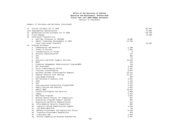Summary of Increases and Decreases (Continued)

| 12. Current Estimate for FY 2004                      |           | 787,697   |
|-------------------------------------------------------|-----------|-----------|
| Less Supplemental Appropriation                       |           | $-57,902$ |
| 13. Normalized Current Estimate for FY 2004           |           | 729,795   |
| 14. Price Changes                                     |           | 11,825    |
| 15. Functional Transfers-out                          |           |           |
| a. Gulf War Illnesses to TRICARE                      | $-9,896$  |           |
| b. USD(I) Technology Development to USAF              | $-13,705$ |           |
| Total Functional Transfers                            |           | $-23,601$ |
| 16. Program Increases                                 |           |           |
| a. Compensation and Benefits                          | 1,199     |           |
| b. Travel of Persons                                  | 2,394     |           |
| c. Transportation of Things                           | 6         |           |
| d. Official Representation                            | 212       |           |
| e. IPA                                                | 984       |           |
| PCS<br>f.                                             | 31        |           |
| Contracts and Other Support Services<br>q.            | 13,836    |           |
| <b>DCFO</b><br>h.                                     | 126       |           |
| i.<br>Financial Management Modernization Program/BMSI | 710       |           |
| Net Assessment<br>i.                                  | 5,484     |           |
| i. Force Transformation Office                        | 1,197     |           |
| k. Training Transformation                            | 8,875     |           |
| Business Systems Transformation Domains<br>1.         | 15,231    |           |
| Capital Security Cost Sharing<br>m.                   | 27,317    |           |
| Long Range Planning<br>n.                             | 936       |           |
| NII Missiona & Analysis Fund<br>$\circ$ .             | 3,912     |           |
| ISIS<br>p.                                            | 1,138     |           |
| CIO<br>q.                                             | 3,444     |           |
| Info Assurance Scholarship Program/ISSP<br>r.         | 2,432     |           |
| USD(I) Mission and Analysis<br>s.                     | 1,024     |           |
| USD(I) GWOT<br>t.                                     | 19,976    |           |
| Counterintelligence and Security<br>u.                | 3,000     |           |
| Legacy<br>v.                                          | 2,513     |           |
| OSD Study Programs<br>w.                              | 3,481     |           |
| Defense Reform Project for Competition<br>x.          | 697       |           |
| Acquisition Programs Support Systems<br>у.            | 381       |           |
| Acquisition Workforce Demoonstration<br>Ζ.            | 612       |           |
| aa. Environmental Security Cooperation                | 669       |           |
| Logistics System Modernization Support<br>ab.         | 4,916     |           |
| ac. Low Observable/CLO                                | 68        |           |
| ad. Defense Procurement and Acquisition Policy        | 8,190     |           |
| Transform Procurement Regulations<br>ae.              | 359       |           |
| af. E-Business COE                                    | 2,482     |           |
| ag. Mission Capabilities/Systems Engineering          | 1,557     |           |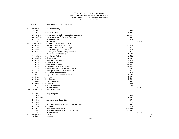Summary of Increases and Decreases (Continued)

| 16. | Program Increases (Continued)                         |            |           |         |
|-----|-------------------------------------------------------|------------|-----------|---------|
|     | ah. BRAC Support                                      | 367        |           |         |
|     | ai. Base Information System                           | 3,894      |           |         |
|     | aj. Readiness and Environmental Protection Initiative | 20,000     |           |         |
|     | ak. Def Acq Mgt Info Retrieval System (DAIMRS)        | 387        |           |         |
|     | al. Test Resource Management Center                   | 1,373      |           |         |
|     | Total Program Increases                               |            | 165,410   |         |
| 17. | Program Decreases-One Time FY 2005 Costs              |            |           |         |
|     | a. Middle East Regional Security Program              | $-1,419$   |           |         |
|     | b. Study Internet and Wireless Technology             | $-1,014$   |           |         |
|     | c. Export Control to Foreign Countries                | $-1,419$   |           |         |
|     | d. Young Patriots Program (Natl. Flag Foundation)     | $-1,014$   |           |         |
|     | e. Asia Pacific Regional Initiative                   | $-14, 196$ |           |         |
|     | f. Dedicated Fiber Optic Network                      | $-1,521$   |           |         |
|     | g. Goldwater-Nichols Study                            | $-1,014$   |           |         |
|     | h. Grant to Ft Benning Infantry Museum                | $-8,619$   |           |         |
|     | i. Grant to U of South Florida                        | $-6,084$   |           |         |
|     | j. Grant to Chicago Park District                     | $-3,042$   |           |         |
|     | k. Grant to Army Museum of the Southwest              | $-2,028$   |           |         |
|     | 1. Grant to Tredegar National Civil War Center        | $-1,521$   |           |         |
|     | m. Grant to Philadelphia Korean War Memorial          | $-1,014$   |           |         |
|     | n. Grant to CSS Alabama Association                   | $-253$     |           |         |
|     | o. Grant to Intrepid Sea Air Space Museum             | $-2,129$   |           |         |
|     | p. Grant to Red Cross                                 | $-5,070$   |           |         |
|     | q. Grant to D Day Museum                              | $-3,549$   |           |         |
|     | r. Women in Military Service                          | $-507$     |           |         |
|     | s. Country Study Series                               | $-2,535$   |           |         |
|     | t. Black Americans in Defense                         | $-253$     |           |         |
|     | Total Program Decreases                               |            | $-58,201$ |         |
|     | 18. Program Decreases in FY 2005                      |            |           |         |
|     |                                                       |            |           |         |
|     | a. ROK Scholarship Program                            | $-1$       |           |         |
|     | b. CISA                                               | $-842$     |           |         |
|     | c. NII GWOT                                           | $-4,450$   |           |         |
|     | d. Counterintelligence and Security                   | $-879$     |           |         |
|     | Deskbook<br>e.                                        | $-29$      |           |         |
|     | f. Arctic Military Environmental COOP Program (AMEC)  | $-2,054$   |           |         |
|     | g. CFO Act Compliance                                 | $-29$      |           |         |
|     | h. Native American Land Remediation                   | $-10,039$  |           |         |
|     | i. Readiness and Range Preservation Initiative        | $-1,092$   |           |         |
|     | Total Program Decreases                               |            | $-19,415$ |         |
|     | 19. Program Changes (Net)                             |            |           | 87,794  |
|     | 20. FY 2005 Budget Request                            |            |           | 805,813 |
|     |                                                       |            |           |         |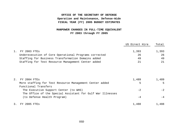## **OFFICE OF THE SECRETARY OF DEFENSE Operation and Maintenance, Defense-Wide FISCAL YEAR (FY) 2005 BUDGET ESTIMATES**

## **MANPOWER CHANGES IN FULL-TIME EQUIVALENT FY 2003 through FY 2005**

|                                                       | US Direct Hire | Total |
|-------------------------------------------------------|----------------|-------|
|                                                       |                |       |
| 1. FY 2003 FTES                                       | 1,393          | 1,393 |
| Underexecution of Core Operational Programs corrected | 26             | 26    |
| Staffing for Business Transformation Domains added    | 49             | 49    |
| Staffing for Test Resource Management Center added    | 21             | 21    |

| 2. | FY 2004 FTES                                               | 1,489 | 1,489 |
|----|------------------------------------------------------------|-------|-------|
|    | More staffing for Test Resource Management Center added    | 5     |       |
|    | Functional Transfers                                       |       |       |
|    | The Executive Support Center (to WHS)                      | $-2$  | $-2$  |
|    | The Office of the Special Assistant for Gulf War Illnesses |       |       |
|    | (to Defense Health Program)                                | $-4$  |       |
| 3. | 2005 FTEs<br>FY                                            | 1,488 | 1,488 |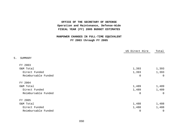## **OFFICE OF THE SECRETARY OF DEFENSE Operation and Maintenance, Defense-Wide FISCAL YEAR (FY) 2005 BUDGET ESTIMATES**

## **MANPOWER CHANGES IN FULL-TIME EQUIVALENT FY 2003 through FY 2005**

|                     | US Direct Hire | Total       |
|---------------------|----------------|-------------|
| 5.<br>SUMMARY       |                |             |
| FY 2003             |                |             |
| O&M Total           | 1,393          | 1,393       |
| Direct Funded       | 1,393          | 1,393       |
| Reimbursable Funded | 0              | $\mathbf 0$ |
| FY 2004             |                |             |
| O&M Total           | 1,489          | 1,489       |
| Direct Funded       | 1,489          | 1,489       |
| Reimbursable Funded | 0              | $\mathbf 0$ |
| FY 2005             |                |             |
| O&M Total           | 1,488          | 1,488       |
| Direct Funded       | 1,488          | 1,488       |
| Reimbursable Funded | 0              | $\mathsf 0$ |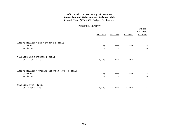#### PERSONNEL SUMMARY

|                                                                       | FY 2003   | FY 2004   | FY 2005   | Change<br>FY 2004/<br>FY 2005 |
|-----------------------------------------------------------------------|-----------|-----------|-----------|-------------------------------|
| Active Military End Strength (Total)<br>Officer<br>Enlisted           | 396<br>78 | 403<br>77 | 409<br>77 | 6<br>$\Omega$                 |
| Civilian End Strength (Total)<br>US Direct Hire                       | 1,393     | 1,489     | 1,488     | $-1$                          |
| Active Military Average Strength (A/S) (Total)<br>Officer<br>Enlisted | 396<br>78 | 403<br>77 | 409<br>77 | 6<br>$\Omega$                 |
| Civilian FTEs (Total)<br>US Direct Hire                               | 1,393     | 1,489     | 1,488     | $-1$                          |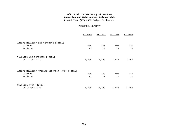#### PERSONNEL SUMMARY

|                                                           | FY 2006 | FY 2007 | FY 2008 | FY 2009 |
|-----------------------------------------------------------|---------|---------|---------|---------|
| Active Military End Strength (Total)                      |         |         |         |         |
| Officer                                                   | 408     | 406     | 406     | 406     |
| Enlisted                                                  | 77      | 78      | 78      | 78      |
| Civilian End Strength (Total)<br>US Direct Hire           | 1,488   | 1,488   | 1,488   | 1,488   |
| Active Military Average Strength (A/S) (Total)<br>Officer | 408     | 408     | 408     | 408     |
| Enlisted                                                  | 77      | 77      | 77      | 77      |
| Civilian FTEs (Total)                                     |         |         |         |         |
| US Direct Hire                                            | 1,488   | 1,488   | 1,488   | 1,488   |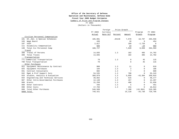#### **Office of the Secretary of Defense Operation and Maintenance, Defense-Wide Fiscal Year 2005 Budget Estimates**

Summary of Price and Program Changes

## FY 2004

(Dollars in Thousands)

|     |                                    |         | Foreign  | Price Growth |        |              |             |
|-----|------------------------------------|---------|----------|--------------|--------|--------------|-------------|
|     |                                    | FY 2003 | Currency |              |        | Program      | FY 2004     |
|     |                                    | Actual  | Rate Dif | Percent      | Amount | Growth       | Program     |
|     | Civilian Personnel Compensation    |         |          |              |        |              |             |
| 101 | EX., Gen. & Special Schedules      | 185,091 |          | .04148       | 7,678  | 10,787       | 203,556     |
| 103 | Wage Board                         | 436     |          |              | 18     | $\mathbf{0}$ | 454         |
| 107 | VSIP                               | 2,617   |          |              | 109    | $-2,726$     | $\mathbf 0$ |
| 111 | Disability Compensation            | 583     |          |              | 24     | $-24$        | 583         |
| 199 | Total Civ Personnel Comp           | 188,727 |          |              | 7,828  | 8,038        | 204,593     |
|     | Travel                             |         |          |              |        |              |             |
| 308 | Travel of Persons                  | 14,035  |          | 1.3          | 182    | 485          | 14,702      |
| 399 | Total Travel                       | 14,035  |          |              | 182    | 485          | 14,702      |
|     | Transportation                     |         |          |              |        |              |             |
|     | 771 Commercial Transportation      | 70      |          | 1.3          | 0      | 45           | 115         |
|     | 799 Total Transportation           | 70      |          |              | 0      | 45           | 115         |
|     | Other Purchases                    |         |          |              |        |              |             |
| 922 | Equipment Maintenance by Contract  | 908     |          | 1.3          | 11     | $\mathbf{0}$ | 919         |
| 925 | Equipment Purchases                | 184     |          | 1.3          | 2      | $\Omega$     | 186         |
| 931 | Contract Consultants               | 602     |          | 1.3          | 7      | $\Omega$     | 609         |
| 932 | Mgmt & Prof Support Svcs           | 54,535  |          | 1.3          | 708    | $\mathbf{0}$ | 55,243      |
| 933 | Studies, Analysis & Evaluation     | 389,079 |          | 1.3          | 5,058  | $-43,304$    | 350,833     |
| 934 | Engineering and Technical Services | 39,662  |          | 1.3          | 515    | $\Omega$     | 40,177      |
| 987 | Other Intra-Governmental Purchases | 12,140  |          | 1.3          | 157    | $\Omega$     | 12,297      |
| 988 | Grants                             | 31,250  |          | 1.3          | 406    | $\Omega$     | 31,656      |
| 989 | Other Contracts                    | 446     |          | 1.3          | 5      | $\Omega$     | 451         |
| 998 | Other Costs                        | 17,783  |          | 1.3          | 231    | $\Omega$     | 18,014      |
| 999 | Total Other Purchases              | 546,589 |          |              | 7,100  | (43, 304)    | 510,385     |
|     | 9999 Total                         | 749,421 |          |              | 15,110 | $-34,736$    | 729,795     |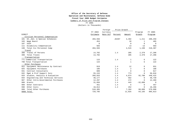## **Office of the Secretary of Defense Operation and Maintenance, Defense-Wide**

**Fiscal Year 2005 Budget Estimates**

## Summary of Price and Program Changes

#### FY 2005

(Dollars in Thousands)

|               |                                    |             | Foreign  | Price Growth |              |           |          |
|---------------|------------------------------------|-------------|----------|--------------|--------------|-----------|----------|
|               |                                    | FY 2004     | Currency |              |              | Program   | FY 2005  |
| <b>DIRECT</b> |                                    | Estimate    | Rate Dif | Percent      | Amount       | Growth    | Program  |
|               | Civilian Personnel Compensation    |             |          |              |              |           |          |
| 101           | EX., Gen. & Special Schedules      | 203,556     |          | .02207       | 4,492        | 1,211     | 209,259  |
| 103           | Wage Board                         | 454         |          |              | 10           | 1         | 465      |
| 107           | VSIP                               | $\mathbf 0$ |          |              | 0            | $\Omega$  | $\Omega$ |
| 111           | Disability Compensation            | 583         |          |              | 13           | $-13$     | 583      |
| 199           | Total Civ Personnel Comp           | 204,593     |          |              | 4,515        | 1,199     | 210,307  |
|               | Travel                             |             |          |              |              |           |          |
| 308           | Travel of Persons                  | 14,702      |          | 1.4          | 205          | 2,379     | 17,286   |
| 399           | Total Travel                       | 14,702      |          |              | 205          | 2,379     | 17,286   |
|               | Transportation                     |             |          |              |              |           |          |
|               | 771 Commercial Transportation      | 115         |          | 1.4          | $\mathbf{1}$ | 6         | 122      |
|               | 799 Total Transportation           | 115         |          |              | 1            | 6         | 122      |
|               | Other Purchases                    |             |          |              |              |           |          |
| 922           | Equipment Maintenance by Contract  | 919         |          | 1.4          | 12           | 0         | 931      |
| 925           | Equipment Purchases                | 186         |          | 1.4          | 2            | $\Omega$  | 188      |
| 931           | Contract Consultants               | 609         |          | 1.4          | 8            | 0         | 617      |
| 932           | Mgmt & Prof Support Svcs           | 55,243      |          | 1.4          | 773          | $\Omega$  | 56,016   |
| 933           | Studies, Analysis & Evaluation     | 350,833     |          | 1.4          | 4,874        | 92,708    | 448,415  |
| 934           | Engineering and Technical Services | 40,177      |          | 1.4          | 562          | $\Omega$  | 40,739   |
| 987           | Other Intra-Governmental Purchases | 12,297      |          | 1.4          | 172          | $\Omega$  | 12,469   |
| 988           | Grants                             | 31,656      |          | 1.4          | 443          | $-32,099$ | $\Omega$ |
| 989           | Other Contracts                    | 451         |          | 1.4          | 6            | $\Omega$  | 457      |
| 998           | Other Costs                        | 18,014      |          | 1.4          | 252          | $\Omega$  | 18,266   |
| 999           | Total Other Purchases              | 510,385     |          |              | 7,104        | 60,609    | 578,098  |
|               | 9999 Total                         | 729,795     |          |              | 11,825       | 64,193    | 805,813  |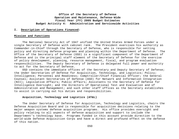## **I. Description of Operations Financed:**

#### **Mission and Functions**

The National Security Act of 1947 unified the United States Armed Forces under a single Secretary of Defense with cabinet rank. The President exercises his authority as Commander-in-Chief through the Secretary of Defense, who is responsible for setting policy and directing defense programs and planning within the Department of Defense. The Office of the Secretary of Defense (OSD) is a significant component of the Department of Defense and is the principal staff element of the Secretary of Defense for the exercise of policy development, planning, resource management, fiscal, and program evaluation responsibilities. The Deputy Secretary of Defense is delegated full power and authority to act for the Secretary of Defense.

OSD contains the immediate offices of the Secretary and Deputy Secretary of Defense; the Under Secretaries of Defense for Acquisition, Technology, and Logistics; Policy; Intelligence; Personnel and Readiness; Comptroller/Chief Financial Officer; the General Counsel; Assistant Secretaries of Defense (ASD) for Network and Information Integration (NII); Legislative Affairs; Public Affairs; Assistants to the Secretary of Defense for Intelligence Oversight; and the Directors of Operational Test and Evaluation and of Administration and Management; and such other staff offices as the Secretary establishes to assist in carrying out his duties and responsibilities.

#### **Acquisition, Technology and Logistics (AT&L)**

The Under Secretary of Defense for Acquisition, Technology and Logistics, chairs the Defense Acquisition Board and is responsible for acquisition decisions relating to the major weapon systems defense acquisition programs. His office provides oversight and policy relating to all aspects of defense acquisition and support to include the Department's technology base. Programs funded in this account provide direction to the world-wide Defense Acquisition Corps and have a direct and profound effect on the defense of this nation.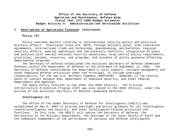#### **I. Description of Operations Financed: (Continued)**

## **Policy (P)**

Policy oversees matters relating to international security policy and politicalmilitary affairs. Functional areas are: NATO, foreign military sales, arms limitation agreements, international trade and technology, peacekeeping, partnerships, regional security affairs, special operations and low-intensity conflicts, integration of plans and policies with overall national security objectives, drug control policy requirements, priorities, systems, resources, and programs, and issuance of policy guidance affecting departmental programs.

The Secretary of Defense established the Assistant Secretary of Defense (Homeland Defense) within the Department of Defense in the aftermath of September 11, 2001. The Secretary of Defense consolidated the Department's civil support, incident management and other homeland defense activities under one Principal, to include oversight responsibility for the new U.S. Northern Command (NORTHCOM). OASD(HD) is the central point of contact between DoD, Department of Homeland Security, and other Federal Departments and Agencies.

The Space Policy function is now under the OUSD (Policy). The Critical Infrastructure Protection Program (CIP) was also moved to the OUSD (Policy), under the purview of the Assistant Secretary of Defense (Homeland Defense).

#### **Intelligence (I)**

The Office of the Under Secretary of Defense for Intelligence (USD(I)) was established on May 8, 2003 to provide oversight and policy guidance for all intelligence, counterintelligence and security, and other intelligence-related activities and functions. In this role, the USD(I) will advise the Secretary of Defense, the Secretaries of the Military Departments, the Chairman of the Joint Chiefs of Staff and the Combatant Commanders on the performance of national and defense intelligence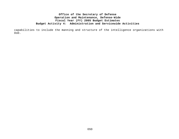capabilities to include the manning and structure of the intelligence organizations with DoD.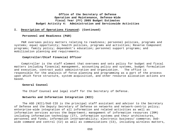#### **I. Description of Operations Financed: (Continued)**

#### **Personnel and Readiness (P&R)**

P&R oversees policy matters relating to readiness; personnel policies, programs and systems; equal opportunity; health policies, programs and activities; Reserve Component programs; family policy; dependent's education; personnel support programs; and mobilization planning and requirements.

## **Comptroller/Chief Financial Officer**

Comptroller is the staff element that oversees and sets policy for budget and fiscal matters including financial management, accounting policy and systems, budget formulation and execution, contract audit administration and organization. The office is responsible for the analysis of force planning and programming as a part of the process upon which force structure, system acquisition, and other resource allocation actions are based.

#### **General Counsel**

The Chief Counsel and legal staff for the Secretary of Defense.

#### **Networks and Information Integration (NII)**

The ASD (NII)/DoD CIO is the principal staff assistant and advisor to the Secretary of Defense and the Deputy Secretary of Defense on networks and network-centric policy; enterprise-wide integration of all information and related activities as well as information services across the Department; management of information resources (IRM) including information technology (IT), information systems and their architectures, personnel and funds; information interoperability; electronic business/ commerce; DoDwide command and control (C2) as well as communications (C3), including wireless matters,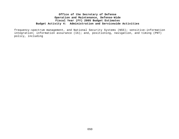frequency-spectrum management, and National Security Systems (NSS); sensitive-information integration; information assurance (IA); and, positioning, navigation, and timing (PNT) policy, including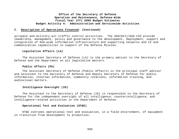## **I. Description of Operations Financed: (Continued)**

airspace and military-air-traffic control activities. The ASD(NII)/DoD CIO provide leadership, management, policy and governance to the development, deployment, support and integration of DoD-wide information infrastructure and supporting networks and C2 and communication capabilities in support of the Defense Mission.

#### **Legislative Affairs (LA)**

The Assistant Secretary of Defense (LA) is the primary advisor to the Secretary of Defense and the Department on all legislative matters.

#### **Public Affairs (PA)**

The Assistant Secretary of Defense (Public Affairs) is the principal staff advisor and assistant to the Secretary of Defense and Deputy Secretary of Defense for public information, internal information, community relations, information training, and audiovisual matters.

## **Intelligence Oversight (IO)**

The Assistant to the Secretary of Defense (IO) is responsible to the Secretary of Defense for the independent oversight of all intelligence, counterintelligence, and intelligence-related activities in the Department of Defense.

#### **Operational Test and Evaluation (OT&E)**

OT&E oversees operational test and evaluation, in a field environment, of equipment in transition from development to production.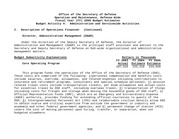## **I. Description of Operations Financed: (Continued)**

## **Director, Administration Management (DA&M)**

Under the direction of the Deputy Secretary of Defense, the Director of Administration and Management (DA&M) is the principal staff assistant and advisor to the Secretary and Deputy Secretary of Defense on DoD-wide organizational and administrative management matters.

| Budget Subactivity Explanations | Dollars in Thousands     |  |
|---------------------------------|--------------------------|--|
|                                 | FY 2003 FY 2004 FY 2005  |  |
| Core Operating Program          | Actual Estimate Estimate |  |
|                                 | 207,526 225,318 234,928  |  |

This program funds the operations of the Office of the Secretary of Defense (OSD). These costs are comprised of the following: 1)personnel compensation and benefits costs include salaries, overtime, allowances, and related expenses including contributions to insurance and retirement programs, consultants and special schedule personnel; 2) mission related travel costs include transportation tickets, per diem allowances and actual costs for essential travel by OSD staff, including overseas travel; 3) transportation of things including costs for freight and storage when moving the household goods of OSD staff; 4) Official Representation Funds (ORF), which are an Emergency and Extraordinary Expense (E&EE) authority, provides funding for extending official courtesies to guests of the OSD; 5) Intergovernmental Personnel Act (IPA) and reimbursable civilian details allow OSD to obtain scarce and critical expertise from outside the government in industry and academia and other federal government agencies; and 6) permanent change of station (PCS) covers the cost of moving personnel upon hiring, transfer, or separation, when not budgeted elsewhere.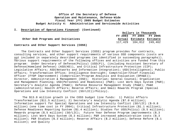## **I. Description of Operations Financed: (Continued)**

|                                             | Dollars in Thousands |                          |  |
|---------------------------------------------|----------------------|--------------------------|--|
|                                             |                      | FY 2003 FY 2004 FY 2005  |  |
| Other DoD Programs and Initiatives          |                      | Actual Estimate Estimate |  |
|                                             |                      | 117,429 184,012 249,462  |  |
| Contracts and Other Support Services (COSS) |                      |                          |  |

The Contracts and Other Support Services (COSS) program provides for contracts, consulting services, and other support requirements of various OSD components (costs are not included in separately described programs (as identified in succeeding paragraphs)). Various support requirements of the following offices and activities are funded from this program: Under Secretary of Defense(Policy) (USD(P)), (including Assistant Secretary of Defense(Homeland Defense) (ASD(HD)), and Critical Infrastructure Protection (CIP); Legislative Affairs; ASD(Networks and Information Integration); USD(Intelligence); Public Affairs; Transformation Office; Intelligence Oversight; Comptroller/Chief Financial Officer (FYDP Improvement) (Comptroller/Program Analysis and Evaluation (DPA&E)); Director, Administration & Management (OSD); Historian; General Counsel; Organization and Management Planning; USD(Personnel and Readiness) (P&R); Lost Work Days System (P&R); Secretary's Analytic Agenda (PA&E); Defense Resource Management Study (PA&E); PA&E (administration); Health Affairs; Reserve Affairs; and Small Rewards Program (Special Operations and Low Intensity Conflict (SO/LIC))/Policy).

The \$13.8 million growth in the COSS budget line funds: 1) Public Affairs Transformation (\$11.5 million); 2) Secretary's Analytic Agenda (\$7.0 million); Information support for Special Operations and Low Intensity Conflict (SO/LIC) (\$-9.8 million) (one time cost in FY 2004); Critical Infrastructure Protection (\$1.1 million); Defense Readiness Reporting System (\$1.4 million); Studies for USD(Policy) (\$.5 million); Rewards program (\$.5 million) (SO/LIC); Future Year Defense Program improvements (\$.3 million); Lost Work Days System (\$.3 million); P&R increased administration costs (\$.3 million); P&R Studies (\$.3 million); Reserve Affairs (\$.2 million); Defense Reform (\$.1 million); and Quality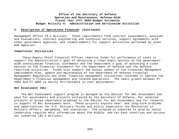#### **I. Description of Operations Financed: (Continued)**

Management Office (\$.1 million). These requirements fund contract assessments, analyses and evaluations, contract engineering and technical services, support agreements with other government agencies, and reimbursements for support activities performed by other DoD agencies.

## **Comptroller Initiatives**

These Deputy Chief Financial Officer requires funds for performance of tasks to support the Administration's goal of obtaining a clean audit opinion on the governmentwide consolidated financial statements and the Department's goal of achieving a clean opinion on the financial statements for the Department of Defense and the Defense reporting activities. Funds also support the annual update of the Financial Management Improvement Plan, update and maintenance of the Department of Defense Financial Management Regulation and other financial management initiatives intended to improve the Department's financial management and related operations. The small growth between FY 2004 and FY 2005 is mainly attributable to cost adjustments.

#### **Net Assessment (NA)**

The Net Assessment support program is managed by the Advisor for Net Assessment and pays for assessments and projects initiated by the Secretary of Defense, for selected projects of broad importance proposed to the Advisor for Net Assessment and for research in support of Net Assessment work. These projects explore near- and long-term problems and opportunities for U.S. military forces and policy especially the Revolution in Military Affairs, wargaming, and simulation. The program is expected to grow as senior leadership requires more information about the Middle- and Far-East countries and various war scenarios (\$5.5 million).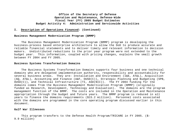#### **I. Description of Operations Financed: (Continued)**

## **Business Management Modernization Program (BMMP)**

The Business Management Modernization Program (BMMP) program is developing the business-process based enterprise architecture to allow the DoD to produce accurate and reliable financial statements and to deliver timely and relevant information to decision makers. Undistributed reductions to the prior year program were not extended to the budget year. This information, coupled with pricing changes, explains the small growth between FY 2004 and FY 2005.

#### **Business Systems Transformation Domains**

The Business Systems Transformation Domains supports four business and one technical domains who are delegated implementation authority, responsibility and accountability for several business areas. They are: Installation and Environment (I&E, AT&L), Acquisition (AQ, AT&L), Accounting and Finance (A&F, OUSD(C)), Strategic Planning and Budgeting (SPB, OUSD(C)), and Technical Infrastructure (TI, ASD(NII)). The FY 2004 funding for the domains comes from the Business Management Modernization Program (BMMP) (originally funded as Research, Development, Technology and Evaluation). The domains are the program management function of the BMMP. The costs are included in the Operation and Maintenance appropriation through the budget and future years. The BMMP program is reduced in all years to finance the domains requirements (\$15.2 million). Personnel costs associated with the domains are programmed in the core operating program discussed earlier in this document.

#### **Gulf War Illnesses**

This program transfers to the Defense Health Program/TRICARE in FY 2005. (\$- 9.9 million)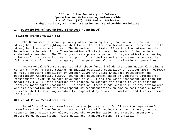## **I. Description of Operations Financed: (Continued)**

## **Training Transformation (T2)**

The Department's second priority after pursuing the global war on terrorism is to strengthen joint warfighting capabilities. T2 is the enabler of force transformation to strengthen these capabilities. The Department initiated T2 as the foundation for the Department's broader Force Transformation efforts to meet the needs of the regional combatant commander. The T2 program has a phased approach for systematically expanding joint warfighter capabilities in support of national security requirements across the full spectrum of joint, interagency, intergovernmental, and multinational operations.

Departmental efforts supported with these funds include the Joint National Training Center's (JNTC) efforts towards an initial operating capability of October 2004, followed by full operating capability by October 2009; the Joint Knowledge Development and Distribution Capability (JKDDC) courseware development based on Combatant Commander(s) requirements (over 20 courses developed in 2004); and the Joint Assessment and Enabling Capability (JAEC) which provides the process to measure the degree to which training improves joint force readiness. In addition, these funds support T2 policy development and implementation and the development of recommendations on how to facilitate a joint interoperability training capability, supported by a mix of simulated and live exercises. (\$8.9 million)

#### **Office of Force Transformation**

The Office of Force Transformation's objective is to facilitate the Department's transformation of the force. These activities will include training, travel, contract support, information technology, research, experimentation and exercise assessment, prototyping, publications, multi-media and transportation. (\$1.2 million)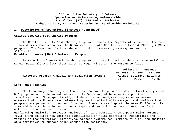## **I. Description of Operations Financed: (Continued)**

## **Capital Security Cost Sharing Program**

The Capital Security Cost Sharing Program finances the Department's share of the cost to build new embassies under the Department of State Capital Security Cost Sharing (CSCS) program. The Department's fair share of cost for receiving embassy support is \$27.3 million.

## **Republic of Korea (ROK) Scholarship Program**

The Republic of Korea Scholarship program provides for scholarships as a memorial to Korean nationals who lost their lives at Nogun-Ri during the Korean Conflict.

|                                                   | Dollars in Thousands     |  |
|---------------------------------------------------|--------------------------|--|
|                                                   | FY 2003 FY 2004 FY 2005  |  |
| Director, Program Analysis and Evaluation (PA&E): | Actual Estimate Estimate |  |
|                                                   | 21,422 20,675 21,900     |  |

#### **Long Range Planning**

The Long Range Planning and Analytical Support Program provides critical analyses of DoD programs and independent advice to the Secretary of Defense in support of transformation. More specifically, it develops and analyzes program alternatives, ensures that the Future Year Defense Program is holistically managed, and confirms that programs are properly priced and financed. There is small growth between FY 2004 and FY 2005 and is attributable to pricing changes and costs for computer operations (\$.9 million). The program includes:

**Warfighting Analysis:** Provides analyses of joint operations to support major defense reviews and develops new analytic capabilities of joint operations. Assessments are focused on transformation initiatives, weapons systems requirements studies, and analysis of alternatives to support major acquisition decisions.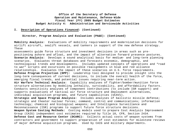## **I. Description of Operations Financed: (Continued)**

## **Director, Program Analysis and Evaluation (PA&E): (Continued)**

**Mobility Analysis:** Evaluations of mobility requirements and modernization decisions for airlift aircraft, sealift vessels, and tankers in support of the new defense strategy. These

assessments guide force structure and investment decisions in areas such as prepositioning ashore and afloat, and the impact of alternative forward presence postures. **Scenario Analysis:** Develops a sound analytical basis for medium- and long-term planning scenarios. Evaluates threat databases and forecasts economic, demographic, and technological trends and developments. Includes updated concepts of operations and "road to war" scripts and excursions on possible realignments in blue and red alliance relationships. Evaluates the impact of these scenarios on U.S. force requirements. **Defense Program Projection (DPP):** Leadership tool designed to provide insight into the long-term consequences of current decisions, to include the overall health of the force, emerging fiscal trends, and potential issues requiring near-term action. **Air Warfare Technical Analysis:** Capability analyses of fighter/bomber/munition force structure alternatives by modeling lethality, survivability, and affordability factors. Conducts sensitivity analyses of component contributions (to include ISR support) and supports evaluations of tactical air force structure and deployment alternatives, individual acquisition programs, and future capabilities (UCAVs). **Strategic and Space Program Analysis:** Includes analyses of ballistic missile defense; strategic and theater nuclear forces; command, control and communications; information technology; chemical and biological weapons; and Intelligence Surveillance and Reconnaissance (ISR) programs to support future force structure decisions. **Weapon System Costing Methods:** Costing models used to prepare Cost Analysis Improvement Group (CAIG) independent cost estimates required by Title 10, CFR, Section 2434. **Defense Cost and Resource Center (DCARC):** Collects actual costs of weapon systems from contractors and government to support preparation of cost estimates for milestone reviews of major defense acquisition programs. Used by CAIG and military departments.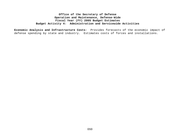**Economic Analysis and Infrastructure Costs**: Provides forecasts of the economic impact of defense spending by state and industry. Estimates costs of forces and installations.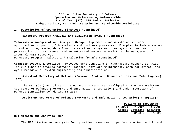#### **I. Description of Operations Financed: (Continued)**

#### **Director, Program Analysis and Evaluation (PA&E): (Continued)**

**Information Management and Analysis Group:** Implements and maintains software applications supporting DoD analysis and business processes. Examples include a system to collect programming data from the services, a system to manage the coordination process for program issues, and an automated system to assist in the management of internal PA&E resources. Director, Program Analysis and Evaluation (PA&E): (Continued)

**Computer Systems & Services:** Provides core computing infrastructure support to PA&E. The O&M funds go towards software licenses, hardware maintenance, computer system lifecycle management, system engineering and administration.

## **Assistant Secretary of Defense** (**Command, Control, Communications and Intelligence) (C3I)**

The ASD (C3I) was disestablished and the resources realigned to the new Assistant Secretary of Defense (Networks and Information Integration) and Under Secretary of Defense (Intelligence) during FY 2003.

**Assistant Secretary of Defense (Networks and Information Integration) (ASD(NII))**

|  |  | Dollars in Thousands     |  |
|--|--|--------------------------|--|
|  |  | FY 2003 FY 2004 FY 2005  |  |
|  |  |                          |  |
|  |  | Actual Estimate Estimate |  |

#### **NII Mission and Analysis Fund**

The NII Mission and Analysis Fund provides resources to perform studies, end to end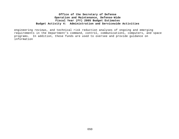engineering reviews, and technical risk reduction analyses of ongoing and emerging requirements in the Department's command, control, communications, computers, and space programs. In addition, these funds are used to oversee and provide guidance on information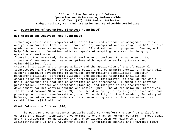## **I. Description of Operations Financed: (Continued)**

## **NII Mission and Analysis Fund (Continued)**

technology investments, requirements, priorities, and information management. These analyses support the formulation, coordination, management and oversight of DoD policies, guidance, and resource management plans for C4 and information programs. Funding will help DoD develop information policies capable of adapting to a rapidly changing operational environment;

focused on the networked, shared–risk environment; designed to enhance security, situational awareness and response options with regard to evolving threats and vulnerabilities, foster

systems integration and interoperability and the application of transformational technologies, and provide for necessary policy and programmatic oversight. Funding will support continued development of wireless communications capabilities, spectrum management policies, strategic guidance, and associated technical analysis and capabilities to support domestic and international initiatives, to include the World Radio Conference and host-nation coordination and agreements. Funding also provides presidential, national and strategic planning, and integration and architecture development for net-centric command and control (C2). One of the major C2 initiatives, the Unified Command Structure (UCS), includes developing policy to guide investment and planning to produce transformation global C2 capability for the President, Secretary of Defense, and other senior leaders while accommodating selected business enterprise capabilities. (\$3.9 million)

#### **Chief Information Officer (CIO)**

The DoD CIO program supports specific goals to transform the DoD from a platformcentric information technology environment to one that is network-centric. These goals and the strategies for achieving them are consistent with key elements of the Administration's IT and E-Government agenda – information sharing and knowledge flow;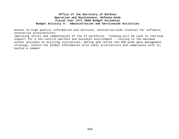access to high quality information and services; enterprise-wide licenses for software; enterprise architectures;

improving skills and competencies of the IT workforce. Funding will be used to continue support for a net-centric warfare and business environment – relying to the maximum extent possible on existing initiatives; define and refine the DoD-wide data management strategy; evolve the Global Information Grid (GIG) architecture and compliance with it; evolve a common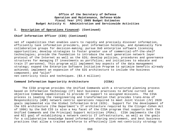#### **I. Description of Operations Financed: (Continued)**

## **Chief Information Officer (CIO) (Continued)**

set of capabilities that enables users to rapidly and precisely discover information, efficiently task information providers, post information holdings, and dynamically form collaborative groups for decision-making; pursue DoD enterprise software licensing opportunities; develop strategies to foster greater use of commercial-off-the-shelf technologies; provide the foundation to introduce the next generation network layer protocol of the Internet as well as the GIG; develop policies, procedures and governance structures for managing IT investments as portfolios; and initiatives to educate and train IT personnel. This program will implement key aspects of the data management strategy; expand the Enterprise Software Initiative Program to optimize benefits already achieved; implement an expansion of the GIG architecture to include the business component; and "pilot" net-centricity tools and techniques. (\$3.4 million)

## **Command Information Superiority Architecture (CISA)**

The CISA program provides the Unified Commands with a structured planning process based on Information Technology (IT) best business practices to define current and objective Command capabilities to provide IT support to assigned missions. The CISA process is leading the reengineering and transformation that provides trans-Area of Responsibility (AOR) network centric operations required to meet Joint Vision (JV) 2020 goals implemented via the Global Information Grid (GIG). Support for the development of the GIG architecture (the Department's IT architecture required by the Clinger-Cohen Act of 1996) by the DoD CIO is also a key facet of the CISA program that supports both the Unified Commands and the Principal Support Activities (PSAs). CISA implements the CIO and NII goal of establishing a network centric IT infrastructure, as well as the goals for a collaborative knowledge based information sharing environment, and best business practices that allow a trained workforce to effectively link net-centricity strategy to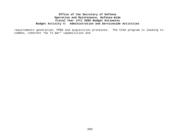requirements generation, PPBS and acquisition processes. The CISA program is leading to common, coherent "Go To War" capabilities and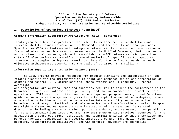### **I. Description of Operations Financed: (Continued)**

## **Command Information Superiority Architecture (CISA) (Continued)**

identifying best business practices that identify differences in capabilities and interoperability issues between Unified Commands, and their multi-national partners. Specific new CISA initiatives will integrate net-centricity concept, achieve horizontal fusion of missions and business processes across the Unified Commands, their components, and multi-national partners, who will establish trans-AOR network centric operations. CISA will also perform cross-Unified Command analysis of capabilities to impact IT investment strategies to improve transition plans for the Unified Commands to reach objective architectures according to the goals of JV 2020. (\$-.8 million)

### **Information Superiority Integration Support (ISIS)**

The ISIS program provides resources for program oversight and integration of, and related planning for the implementation of joint and combined end-to-end integration of command and control (C2), communications, space systems and IT programs. Program oversight

and integration are critical enabling functions required to ensure the achievement of the Department's goals of information superiority, and the improvement of network centric operations. ISIS resource initiatives include improved program oversight and Department guidance for acquisition system programs to better exploit advanced technologies, reduce acquisition cycle time and cost, enhance system interoperability and advance the Department's strategic, tactical, and telecommunications transformational goals. Program oversight analyses and management ensure integration of the Department's related disciplines including strategic vision, policy, standards, and necessary interoperability for C2 and communications into programs. The ISIS program also provides resources for the acquisition process oversight, direction, and technical analysis to ensure Services' and Defense Agencies' acquisition and special interest programs, information technology programs, transformation initiatives, and war efforts' advocacy are addressing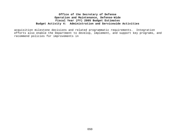acquisition milestone decisions and related programmatic requirements. Integration efforts also enable the Department to develop, implement, and support key programs, and recommend policies for improvements in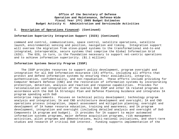## **I. Description of Operations Financed: (Continued)**

## **Information Superiority Integration Support (ISIS) (Continued)**

command and control, communications, space control, satellite operations, satellite launch, environmental sensing and position, navigation and timing. Integration support will oversee the migration from stove-piped systems to the transformational end-to-end integrated, interoperable, secure systems that comprise the Global Information Grid (GIG). The GIG, in turn, is the foundation necessary to support net-centric operations and to achieve information superiority. (\$1.1 million)

#### **Information Systems Security Program (ISSP)**

The ISSP provides resources to support policy development, program oversight and integration for all DoD Information Assurance (IA) efforts, including all efforts that protect and defend information systems by ensuring their availability, integrity, authentication, confidentiality, and non-repudiation. These efforts include providing for Computer Network Defense (CND) and the restoration of information systems by incorporating protection, detection, analysis and reaction and response capabilities. Provides for rationalization and integration of the overall DoD ISSP and other IA related programs in accordance with the DoD IA Strategic Plan and Defense Planning Guidance and integrates IA program spending with DoD

enterprise requirements. Focuses on technical policy development; technology program analysis and integration; IA and CND architecture development and oversight; IA and CND operations process integration, impact assessment and mitigation planning; oversight and development of IA human resource education, training and awareness; and IA program development, integration and oversight (including detailed analysis and oversight of DoD Components IA program and budget). It provides for IA support to major automated information systems programs, major defense acquisition programs, risk management activities, pilot programs and demonstrations, multi-national initiatives, and short-term studies and research of critical DoD interest. Funding supports implementation of the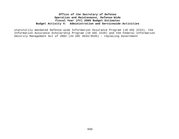statutorily mandated Defense-wide Information Assurance Program (10 USC 2224), the Information Assurance Scholarship Program (10 USC 2220) and the Federal Information Security Management Act of 2002 (44 USC 3544/3545) – replacing Government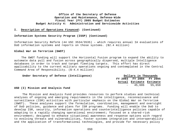#### **I. Description of Operations Financed: (Continued)**

### **Information Systems Security Program (ISSP) (Continued)**

Information Security Reform (44 USC 3534/3535) – which requires annual IA evaluations of DoD information systems and reports on those systems. (\$2.4 million)

#### **Global War on Terrorism (GWOT)**

The GWOT funding will support the Horizontal Fusion program to expand the ability to automate data pull and fusion across geographically dispersed, multiple Intelligence databases in order to track and target fleeting targets. This effort has direct applicability to the current military operations ongoing and contemplated in the Central Command Area of Responsibility. (\$-4.4 million)

| Under Secretary of Defense (Intelligence) | Dollars in Thousands     |  |
|-------------------------------------------|--------------------------|--|
|                                           | FY 2003 FY 2004 FY 2005  |  |
|                                           | Actual Estimate Estimate |  |
|                                           | - 45,606 55,658          |  |

#### **USD (I) Mission and Analysis Fund**

The Mission and Analysis Fund provides resources to perform studies and technical analyses of ongoing and emerging requirements in the intelligence, reconnaissance and surveillance (ISR) activities with particular emphasis on the Global War on Terrorism (GWOT). These analyses support the formulation, coordination, management and oversight of DoD policies, guidance and plans for ISR programs. Funding will enable the DoD to develop ISR, security, information operations and counterintelligence policies capable of adapting to a rapidly changing operational environment; focused on a shared-risk environment; designed to enhance situational awareness and response options with regard to evolving threats and vulnerabilities, foster systems integration and interoperability and the application of transformational technologies, and provide for necessary policy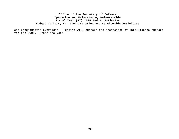and programmatic oversight. Funding will support the assessment of intelligence support for the GWOT. Other analyses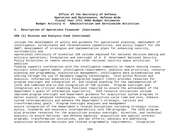## **I. Description of Operations Financed: (Continued)**

## **USD (I) Mission and Analysis Fund (Continued)**

include the development of policy and guidance for operational planning, employment of intelligence, surveillance and reconnaissance capabilities, and policy support for the GWOT; development of strategies and implementation plans for enhancing security, survivability and

operational continuity of essential ISR systems employed for national decision making and military operations; formulation and oversight of U. S. Government National Security Policy Directives on remote sensing and other national security space activities. In addition

funding supports coordination with the intelligence community on remote sensing issues; military intelligence needs; intelligence requirements, analysis and priorities; resource planning and programming; exploitation management; intelligence data dissemination and sharing through the use of metadata tagging technologies. Also within Mission and Analysis, Information Superiority Integration Support (ISIS) provides resources for program oversight and integration of, and related planning for the implementation of joint and combined end-to-end integration of ISR systems. Program oversight and integration are critical enabling functions required to ensure the achievement of the Department's goals of information superiority. ISIS resource initiatives include improved program oversight and Department guidance for acquisition system programs to better exploit advanced technologies, reduce acquisition cycle time and cost, enhance system interoperability and advance the Department's strategic, tactical and transformational goals. Program oversight analyses and management ensure integration of the Department's related disciplines including strategic vision, policy, standards and necessary interoperability into ISR programs. The ISIS program also provides resources for the acquisition process oversight, direction, and technical analysis to ensure Services' and Defense Agencies' acquisition and special interest programs, transformation initiatives, and war efforts; advocacy are addressing acquisition milestone decisions and related programmatic requirements. Integration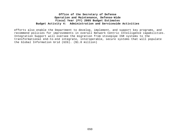efforts also enable the Department to develop, implement, and support key programs, and recommend policies for improvements in overall Network Centric Intelligence capabilities. Integration Support will oversee the migration from stovepipe ISR systems to the transformational end-to-end integrate, interoperable, secure systems that will populate the Global Information Grid (GIG). (\$1.0 million)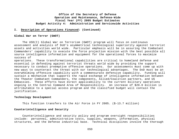### **I. Description of Operations Financed: (Continued)**

#### **Global War on Terror (GWOT)**

The USD(I) Global War on Terrorism (GWOT) program will focus on continuous assessment and analysis of DoD's asymmetrical technological superiority against terrorist assets and activities world wide. Particular emphasis will be in assuring the Combatant Commanders' capability to execute the force projection mission with the best possible all source intelligence information and equipment for the operational forces to maximize success of

operations. These transformational capabilities are critical to homeland defense and essential in defending against terrorist threats world wide by providing the support necessary to conduct preemptive offensive operations. Our assessments must come up with new ways to counteract the threat with our technological advantages. The DoD must be an overwhelming offensive capability with a commensurate defensive capability. Funding will sustain a mechanism that supports the rapid exchange of intelligence information between the Theater Combatant Commanders, the components, Allied/Coalition partners, and US Embassies. These efforts have direct applicability to the current military operations ongoing in the Central Command Area of Responsibility. An increase of \$20.0 million is attributable to a special access program and the classified budget will contain the justification.

#### **Technology Development**

This function transfers to the Air Force in FY 2005. (\$-13.7 million)

## **Counterintelligence and Security**

Counterintelligence and security policy and program oversight responsibilities include: personnel, administrative costs, supplies, weapons, information, physical structures, and the Defense industrial base. Technical disciplines involve the thorough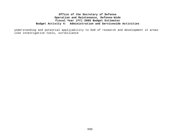understanding and potential applicability to DoD of research and development in areas like investigative tools, surveillance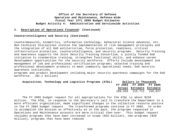## **I. Description of Operations Financed: (Continued)**

### **Counterintelligence and Security (Continued)**

countermeasures, biometrics, information technology, behavioral science advances, etc. Non-technical disciplines involve the implementation of risk management principles and the integration of all DoD antiterrorism, force protection, readiness, critical infrastructure protection, counterintelligence, and security programs. Security Training and Awareness supports the Joint Security Training Consortium, a jointly funded DoD initiative to standardize training, strengthen functional skills, and enhance career development opportunities for the security workforce. Efforts include development and management of job and professional certification programs; selected training and professional development products to meet community operational needs; DoD security awareness initiatives,

programs and product development including major security awareness campaigns for the DoD workforce. (\$2.1 million)

| Acquisition, Technology and Logistics Programs (AT&L) |  |  |  | Dollars in Thousands     |  |
|-------------------------------------------------------|--|--|--|--------------------------|--|
|                                                       |  |  |  | FY 2003 FY 2004 FY 2005  |  |
|                                                       |  |  |  | Actual Estimate Estimate |  |
|                                                       |  |  |  | 109,926 115,712 156,027  |  |

The FY 2005 budget request for all appropriations for the AT&L is about \$156 million. The AT&L, in response to the Secretary's call to transform the Department to a more efficient organization, made significant changes in the collective resource posture in the FY 2004 budget request. The transformed programs continue in FY 2005. In order to accomplish the mission as effectively as in the past, the programs requested in Operations and Maintenance accounts are more critical than ever. This budget request includes programs that have been increased in scope (\$32 million), new programs (\$20 million), programs that have been reduced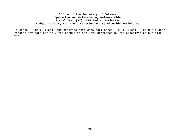in scope (-\$12 million), and programs that were terminated (-\$1 million). The O&M budget request reflects not only the nature of the work performed by the organization but also the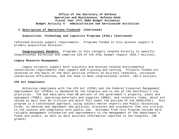## **I. Description of Operations Financed: (Continued)**

### **Acquisition, Technology and Logistics Programs (AT&L) (Continued)**

refocused mission support requirements. Programs funded in this account support 5 primary acquisition missions:

**Congressional Mandate:** Programs in this category respond directly to specific Congressional Direction and comprise 22% of the AT&L budget request (\$33.7 million).

#### **Legacy Resource Management**

Legacy projects support both statutory and mission-related environmental conservation requirements that support DoD training and testing. Projects funded are selected on the basis of the most positive effects on military readiness, increased conservation efficiencies, and the need to meet congressional intent. (\$2.5 million)

#### **CFO Act Compliance**

Achieving compliance with the CFO Act (CFOA) and the Federal Financial Management Improvement Act (FFMIA) is mandated by the Congress and is one of the Secretary's top priorities. The DoD owns more than 80 percent of the government's property, plant and equipment (PP&E), operating materials and supplies (OM&S), and inventory items, which are valued at well over \$1 trillion and which fall under the purview of the OUSD(AT&L). This program is a coordinated approach, using subject matter experts and Public Accounting Firms, to develop and implement new policies, processes and procedures that are critical to the success and compliance with public law. Outcomes from this Program include more reliable management information and improvements to the management of the Department's funds and assets, as well as more accurate information reported to the Congress. (\$0 growth)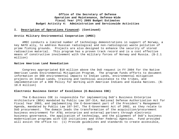### **I. Description of Operations Financed: (Continued)**

### **Arctic Military Environmental Cooperation (AMEC)**

AMEC conducts a limited number of technology demonstrations in support of Norway, a key NATO ally, to address Russian radiological and non-radiological waste pollution of prime fishing grounds. Projects are also designed to enhance the security of stored radioactive material. This program has a proven track record and is a cost effective means of constructive involvement with the military forces of Norway and Russia. (\$-2.1 million)

#### **Native American Land Remediation**

Congress appropriated \$10 million above the DoD request in FY 2004 for the Native American Lands Environmental Mitigation Program. The program funds efforts to document information on DOD environmental impacts to Indian Lands, environmental mitigation projects on Indian Lands, training and technical assistance to the tribes, and implementation of a DOD Policy for Working with American Indians and Alaska Natives. (\$- 10.0 million)

#### **Electronic Business Center of Excellence (E-Business COE)**

The E-Business COE is responsible for implementing DoD's Business Enterprise Architecture (BEA) mandated by Public Law 107-314, National Defense Authorization Act for Fiscal Year 2003, and implementing the E-Government part of the President's Management Agenda, mandated by Public Law 107-347, The E-Government Act of 2002, as they relate to DoD procurement. The domain leads the transformation of the acquisition/procurement business environment for AT&L enterprise and external partners through electronic business governance, the application of technology, and the alignment of DoD's business modernization programs with CIO initiatives and other Federal Agencies. Fund provided will assist the office to: (1) Provide quidelines and standards to create accessible,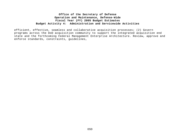efficient, effective, seamless and collaborative acquisition processes; (2) Govern programs across the DoD acquisition community to support the integrated acquisition end state and the forthcoming Federal Management Enterprise Architecture. Review, approve and enforce standards, constraints, guidelines,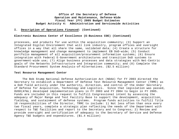#### **I. Description of Operations Financed: (Continued)**

#### **Electronic Business Center of Excellence (E-Business COE) (Continued)**

processes, and products for use within the acquisition community; (3) Support an Integrated Digital Environment that will link industry, program offices and oversight offices in a way that all share the same, validated data; (4) Create a structure for knowledge management and change management to implement EB DoD-wide; (5) Conduct portfolio management of all acquisition/procurement information systems; (6) Ensure integration with Federal E-Government architectures and transition DoD systems to government-wide use; (7) Align business processes and data strategies with Net-Centric goals of the Networks Infrastructure and Integration community; and (8) Complete the Standard Procurement System Analysis-of-Alternatives. (\$2.5 million)

#### **Test Resource Management Center**

The Bob Stump National Defense Authorization Act (NDAA) for FY 2003 directed the Secretary to establish a Department of Defense Test Resource Management Center (TRMC) as a DoD field activity under the authority, direction, and control of the Under Secretary of Defense for Acquisition, Technology and Logistics. Since that legislation was passed, OUSD(AT&L) developed implementation plans in FY 2003 and FY 2004 to begin in FY 2005. Funds are included in this request to fulfill Congressional intent by assessing the adequacy of Major Range and Test Facility Base to support the development, acquisition, fielding, and sustainment of defense systems. Program funds activities to fulfill Title 10 responsibilities of the Director, TRMC to include: 1) Not less often than once every two fiscal years, complete a strategic plan reflecting the needs of the Department with respect to T&E facilities and report to the Secretary and to Congress; 2) Review and provide oversight and certification of adequacy to the Secretary of Service and Defense Agency T&E budgets and expenditures. (\$1.4 million)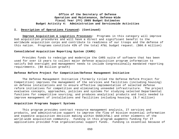### **I. Description of Operations Financed: (Continued)**

**Improve Acquisition & Logistics Processes:** Programs in this category will improve DoD acquisition procedures and will have a direct and significant benefit to the worldwide acquisition corps and contribute to readiness of our troops and the defense of this nation. Programs constitute 43% of the total AT&L budget request. (\$66.6 million)

### **Consolidated Acquisition Reporting System (CARS)**

Provides funds to redesign and modernize the CARS suite of software that has been used for over 13 years to collect major defense acquisition program information to satisfy DoD oversight and management needs to include Congressionally mandated reporting requirements. (\$0 million growth)

#### **Defense Reform Project for Competition/Defense Management Initiative**

The Defense Management Initiative (formerly titled the Defense Reform Project for Competition) improves the management of the services and facilities (including housing) on defense installations and to ensure effective implementation of selected defense reform initiatives for competition and eliminating unneeded infrastructure. The project evaluates concepts, approaches, policies and systems for studying selected Departmental functions for competitive sourcing; and produces analytical products and tools needed to improve management of installations and facilities including housing. (\$.7 million)

### **Acquisition Programs Support Systems**

This program provides contract resource management analysis, IT services and products, and administrative support to improve the flow of mission essential information and expedite acquisition decision making within OUSD(AT&L) and other elements of the world-wide acquisition community. Funding in this program augments funding for IT applications provided from organizational support funds. Funding is essential because of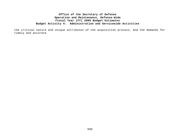the critical nature and unique attributes of the acquisition process, and the demands for timely and accurate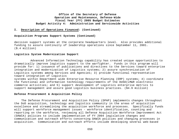### **I.****Description of Operations Financed: (Continued)**

## **Acquisition Programs Support Systems (Continued)**

decision support systems at the corporate headquarters level. Also provides additional funding to assure continuity of leadership operations since September 11, 2001. (\$.4 million)

### **Logistics System Modernization Support**

Advanced Information Technology capability has created unique opportunities to dramatically improve logistics support to the warfighter. Funds in this program will provide for: 1) issuance of publications and directives to the Services toward enterprise integration and modernization of Logistics systems; 2) assure synchronization of Logistics systems among Services and Agencies; 3) provide functional representation toward integration of Logistics systems within Department wide Enterprise Resource Planning (ERP) systems; 4) coordinate

the functional and information technology requirements of the DUSD(LM&R electronic commerce activities; and 5) support development of Logistics enterprise metrics to support management and assure good Logistics business practices. (\$4.9 million)

### **Defense Procurement & Acquisition Policy**

The Defense Procurement and Acquisition Policy (DPAP) implements changes throughout the DoD acquisition, technology and logistics community in the areas of acquisition excellence and streamlining the acquisition workforce and processes. Specifically funds will support workforce management issues - workforce identification, counting and reporting on the workforce, reviewing all Defense Acquisition Workforce Improvement Act (DAWIA) policies to include implementation of FY 2004 legislative changes and communication and outreach efforts concerning DAWIA policies and changing processes in acquisition. Communication and outreach efforts include developing several web-based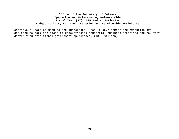continuous learning modules and guidebooks. Module development and execution are designed to form the basis of understanding commercial business practices and how they differ from traditional government approaches. (\$8.2 million)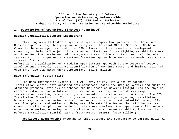### **I. Description of Operations Financed: (Continued)**

### **Mission Capabilities/Systems Engineering**

This program will foster a system-of-system acquisition process. In the area of Mission Capabilities, this program, working with the Joint Staff, Services, Combatant Commands, Defense agencies, and other OSD offices, will represent the development community to help define joint integrated architectures for warfighting capability areas, and then lead the development of the systems views of the architectures, defining what systems to bring together in a system-of-systems approach to meet those needs. Key to the success of this

effort is the application of a modular open systems approach at the system-of systems level to ensure modular designs, identification of key interfaces, and implementation of open interface standards where appropriate. (\$1.6 million)

#### **Base Information System (BIS)**

The Base Information System (BIS) will provide DoD with a set of defense installation spatial data obtained from commercial satellite imaging systems and built on standard graphical overlays to enhance the DoD decision maker's insight into the physical characteristics of installations for numerous activities, such as determining restrictions resulting from existing environmental or encroachment conditions. The BIS Installation Visualization Tool program will develop overlays regarding installation boundaries, range boundaries, noise zones and contours, accident potential zones, 100 year floodplains, and wetlands. Using over 900 satellite images that will be used as common installation pictures to incorporate these overlays, the Department will create a more comprehensive, enduring DoD installation and environment capability known as the Defense Installation Spatial Data Infrastructure (DISDI). (\$3.9 million)

**Regulatory Requirement:** Programs in this category are responsive to various national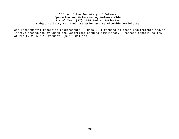and Departmental reporting requirements.Funds will respond to those requirements and/or improve procedures by which the Department assures compliance. Programs constitute 17% of the FY 2005 AT&L request. (\$27.3 million)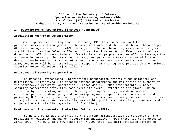### **I. Description of Operations Financed: (Continued)**

### **Acquisition Workforce Demonstration**

AT&L implemented the Acq Demo in February 1999 to enhance the quality, professionalism, and management of the AT&L workforce and chartered the Acq Demo Project Office to manage the effort. AT&L oversight of the Acq Demo programs ensures program visibility across the DoD-wide AT&L workforce, facilitates Senior Executive Committee direction to AT&L to recruit/develop/retain talented people, enables AT&L to leverage the Acq Demo in pursuing other AT&L initiatives, and provides a team experienced in the design, development and training of a results/outcome based personnel system. In FY 2005, Acq Demo will begin transitioning support from the Acq Demo project to the National Security Personnel System. (\$.6 million)

#### **Environmental Security Cooperation**

The Defense Environmental International Cooperation program funds bilateral and multilateral initiatives with foreign defense departments and militaries in support of the Secretary's Security Cooperation Guidance goals. DoD's environmentally-based security cooperation activities complement its overall efforts in the global war on terrorism by facilitating access; enhancing interoperability; building competent coalition partners; developing and fostering regional capabilities/cooperation; and promoting U.S. values by reinforcing efforts by militaries in newly democratic societies to adjust to concepts such as civilian oversight, public accountability, openness, and cooperation with civilian agencies. (\$.7 million)

### **Readiness and Environmental Protection Initiative (REPI)**

The REPI program was initiated by the current administration as reflected in the President's Readiness and Range Preservation Initiative (RRPI) presented to Congress in April 2003. The REPI is a new start for FY 2005 that will help establish buffers or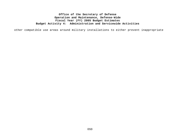other compatible use areas around military installations to either prevent inappropriate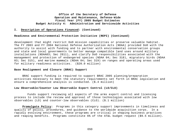### **I. Description of Operations Financed: (Continued)**

#### **Readiness and Environmental Protection Initiative (REPI) (Continued)**

development that might restrict DoD mission capabilities or preserve valuable habitat. The FY 2003 and FY 2004 National Defense Authorization Acts (NDAA) provided DoD with the authority to assist with funding and to partner with environmental conservation groups and state and local governments to better manage compatible land uses around military installations (NDAA03; Sec 2811), and clarify DoD responsibilities associated with the management and protection of endangered species (NDAA 04; Sec 318), migratory birds (NDAA 03; Sec 315), and marine mammals (NDAA 04; Sec 319) on ranges and operating areas used for military readiness activities. (\$20.0 million)

#### **Base Realignment and Closure (BRAC) Support**

BRAC support funding is required to support BRAC 2005 planning/preparation activities necessary to meet the statutory requirements set forth in BRAC legislation and ensure a comprehensive analysis is conducted. (\$.4 million)

#### **Low Observable/Counter Low Observable Export Control (LO/CLO)**

Funds support reviewing all aspects of the arms export control and licensing process to include the review and approval of those technologies associated with low observables (LO) and counter-low observables (CLO). (\$.1 million)

**Promulgate Policy:** Programs in this category support improvements in timeliness and quality of policy, procedures, and guidance to the worldwide acquisition corps. In a rapidly evolving environment, these programs are critical in shaping business practices and reaping benefits. Programs constitute 6% of the AT&L budget request (\$9.5 million).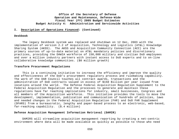#### **I. Description of Operations Financed: (Continued)**

#### **Deskbook**

The legacy Deskbook system was replaced and shutdown on 12 Dec, 2003 with the implementation of version 2.2 of Acquisition, Technology and Logistics (AT&L) Knowledge Sharing System (AKSS). The AKSS and Acquisition Community Connection (ACC) are the primary sources of up-to-date material on AT&L mandatory policies and discretionary practices, providing the DAWIA workforce of 150,000 military and civilian DoD employees and over a million industry partners with instant access to DoD experts and to on-line collaborative knowledge communities. (\$0 million growth)

#### **Transform Procurement Regulations**

This is a continuing initiative to increase the efficiency and improve the quality and effectiveness of the DoD's procurement regulatory process and rulemaking capability. The work of the DAR Council touches all contract awards, transactions and the administration of DoD contracts valued in excess of \$150 Billion per year issued from locations around the world. The Defense Federal Acquisition Regulation Supplement to the Federal Acquisition Regulation and the processes to generate and maintain these regulations have far reaching implications for industry, small businesses, Congress and all members of the Acquisition workforce. This initiative provides the tools to move the development, implementation, publication and communication of hundreds of policies, laws and needed changes in the Federal Acquisition Regulation (FAR) and DoD FAR Supplement (DFARS) from a bureaucratic, lengthy and paper-based process to an electronic, web-based, far-reaching capability. (\$.4 million)

## **Defense Acquisition Management Information Retrieval (DAMIR)**

DAMIRS will streamline acquisition management reporting by creating a net-centric environment where data will be made available as quickly as possible to those who need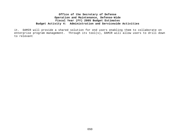it. DAMIR will provide a shared solution for end users enabling them to collaborate on enterprise program management. Through its tool(s), DAMIR will allow users to drill down to relevant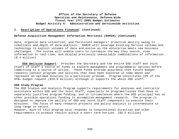### **I. Description of Operations Financed: (Continued)**

### **Defense Acquisition Management Information Retrieval (DAMIR) (Continued)**

data, organize data collection, and facilitate managers' proactive ability owing to timeliness and depth of data analysis. DAMIR will leverage existing Service systems and technology to exploit volumes of data and evolve as the enterprise meets new business challenges. The system will enable users to customize the way they search, view information in real-time, and display previously unavailable combinations of information. (\$.4 million)

**OSD Decision Support:** Provides the Secretary and the entire OSD staff and Joint Chiefs of Staff a source of funds to explore management and programmatic options before committing to a course of action. These funds provide assurance that future budget requests contain programs and policies that have been explored in some depth and represent an optimum solution to a particular problem. Program constitutes 12% of the AT&L budget request (\$19.0 million) although it supports the whole OSD staff.

#### **OSD Study Program**

The OSD Studies and Analysis Program supports requirements for analyses and contractor assistance within OSD and the Joint Staff, especially on programs/issues that have no separately justified program funding, and in circumstances where the OSD principal has no other possible operations funding to accomplish management research. The program is designed to improve the ability of OSD and Joint Staff components to execute their missions. The focus of many research projects and policy analysis is intermediate to long-range in nature.

However, much of this program also responds to Congressional direction and other requirements to produce results within a short term horizon. (\$3.5 million)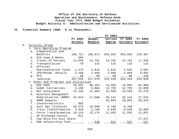## **II. Financial Summary (O&M: \$ in Thousands):**

|    |       |                                                     |           |               | FY 2004                 |                 |                   |
|----|-------|-----------------------------------------------------|-----------|---------------|-------------------------|-----------------|-------------------|
|    |       |                                                     | FY 2003   | Budget        |                         | Current FY 2004 | FY 2005           |
|    |       |                                                     | Actuals   | Request       | Approp                  |                 | Estimate Estimate |
| Α. |       | Activity Group:                                     |           |               |                         |                 |                   |
|    |       | 1. Core Operating Program                           |           |               |                         |                 |                   |
|    |       | a. Compensation and                                 |           |               |                         |                 |                   |
|    |       | Benefits                                            | 188,727   |               | 196,872 204,593 204,593 |                 | 210,307           |
|    |       | b. DIA Comp & Benes 694                             |           |               |                         |                 |                   |
|    |       | c. Travel of Persons 14,035 14,781 14,702 14,702    |           |               |                         |                 | 17,286            |
|    | d.    | Transportation                                      | 70        | 115           | 115                     | 115             | 122               |
|    |       | e. Official                                         |           |               |                         |                 |                   |
|    |       | Representation Funds 1,474 2,842 2,842 2,842 3,091  |           |               |                         |                 |                   |
|    |       | f. IPA/Reimb. Details 2,468 2,968 2,968 2,968 3,992 |           |               |                         |                 |                   |
|    |       | g. PCS                                              | _______58 | _______98     | _______98               | ______98        | $-130$            |
|    |       | Subtotal 207,526                                    |           | 217,676       | 225,318                 |                 | 225, 318 234, 928 |
|    |       | 2. Other DoD Programs and Initiatives               |           |               |                         |                 |                   |
|    |       | a. OSD COSS                                         | 43,351    | 99,352        | 76,995                  | 76,995          | 91,908            |
|    |       | b. Compt Initiatives 3,109 6,864                    |           |               | 12,793                  | 12,793          | 13,098            |
|    |       | c. Net Assessment                                   |           | 11,228 21,085 | 15,569                  | 15,569          | 21,270            |
|    | d.    | Business Management                                 |           |               |                         |                 |                   |
|    |       | Modernization (BMMP)                                |           | 24,914 27,000 | 26,141                  | 26,141          | 27,216            |
|    |       | e. BMMP Domains                                     |           |               | 20,803                  | 20,803          | 36,325            |
|    |       | f. Counternarcotics                                 | 892       |               |                         |                 |                   |
|    | $g$ . | Gulf War Illnesses                                  | 18,570    |               | 10,080 9,760 9,760      |                 |                   |
|    | h.    | Train Transformation 4,420 2,780 9,838 9,838        |           |               |                         |                 | 18,850            |
|    | i.    | Force Transformation 10,134                         |           | 13,176        | 11,592                  | 11,592          | 12,951            |
|    | j.    | AF Exchange Consol.                                 | 811       |               |                         |                 |                   |
|    |       | k. Cap Security Cost Share -                        |           |               |                         |                 | 27,317            |
|    |       | 1. ROK Scholarship Fund ______-                     |           | $-538$        | 521                     | 521             | 527               |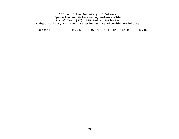Subtotal 117,429 180,875 184,012 184,012 249,462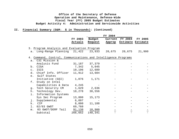| FY 2004                                                       |         |
|---------------------------------------------------------------|---------|
| FY 2004<br>Budget<br>FY 2003<br>Current                       | FY 2005 |
| Approp Estimate Estimate<br>Actuals<br>Request                |         |
|                                                               |         |
| 3. Program Analysis and Evaluation Program                    |         |
| a. Long-Range Planning 21,422 23,933<br>20,675 20,675         | 21,900  |
|                                                               |         |
| 4. Command, Control, Communications and Intelligence Programs |         |
| C3I Mission &<br>a.                                           |         |
| Analysis Fund<br>31, 187 37, 379                              |         |
| 7,342 5,045<br>CISA<br>b.                                     |         |
| 10,196 12,689<br>ISIS<br>$\mathsf{C}$ .                       |         |
| d.<br>Chief Info. Officer<br>11,912<br>13,604                 |         |
| e. Gulf States                                                |         |
| Initiative (GSI)<br>1,076<br>1,171                            |         |
| Study on Intel<br>f.                                          |         |
| Capabilities & Data 4,245                                     |         |
| Tech Security CM 1,629 2,636<br>g.                            |         |
| Technology Dev.<br>10,278<br>38,556<br>h.                     |         |
| Information Systems<br>i.                                     |         |
| Sys Sec Program<br>13,800<br>15,173                           |         |
| 6,097<br>Supplemental<br>j.                                   |         |
| k.<br>CIP<br>8,000<br>11,188                                  |         |
| 69,760<br>$1$ .<br>02/03 GWOT                                 |         |
| 10,900<br>03 GWOT/DERF Tail<br>91,130<br>$m$ .                |         |
|                                                               |         |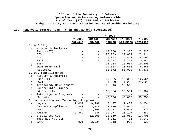|                |                                     |                                   |                                                   | FY 2004                 |                   |                |
|----------------|-------------------------------------|-----------------------------------|---------------------------------------------------|-------------------------|-------------------|----------------|
|                |                                     | FY 2003                           | Budget                                            |                         | Current FY 2004   | <b>FY 2005</b> |
|                |                                     | Actuals                           | Request                                           | Approp                  | Estimate Estimate |                |
|                | 5. ASD(NII)                         |                                   |                                                   |                         |                   |                |
|                | a. Mission & Analysis               |                                   |                                                   |                         |                   |                |
|                | Fund (NII)                          |                                   | $-$                                               | 18,366                  | 18,366            | 22,535         |
| $b$ .          | CIO                                 |                                   |                                                   | 20,089                  | 20,089            | 23,814         |
|                | c. CISA                             |                                   |                                                   | $-5,853$ 5,853          |                   | 5,092          |
|                | d. ISIS                             |                                   |                                                   | $-$ 9,277 9,277         |                   | 10,544         |
| e.             | ISSP                                |                                   | $\frac{1}{2}$ and $\frac{1}{2}$                   | 16,934                  | 16,934            | 19,603         |
| f.             | GWOT/DERF Tail                      | $\equiv$                          | $\equiv$                                          |                         | 10,553 10,553     | 6,250          |
|                | Subtotal                            |                                   | $\equiv$                                          | 81,072                  | 81,072            | 87,838         |
|                | 6. USD (Intelligence)               |                                   |                                                   |                         |                   |                |
| a.             | Mission & Analysis                  |                                   |                                                   |                         |                   |                |
|                | Fund $(I)$                          |                                   | $\frac{1}{2}$ and $\frac{1}{2}$                   | 15,326                  | 15,326            | 16,564         |
| b.             | GWOT                                |                                   | $-$                                               | $1,200$ $1,200$         |                   | 21,192         |
| $\circ$ .      | Technology Development              |                                   | $\frac{1}{2}$ and $\frac{1}{2}$ and $\frac{1}{2}$ | 13,516                  | 13,516            |                |
| d.             | Counterintelligence                 |                                   |                                                   |                         |                   |                |
|                | & Security                          |                                   |                                                   | 15,564                  | 15,564            | 17,902         |
| e.             | Intelligence Programs               |                                   | $\frac{1}{2}$                                     |                         |                   |                |
|                | Subtotal                            |                                   |                                                   | 45,606                  | 45,606            | 55,658         |
| 7.             | Acquisition and Technology Programs |                                   |                                                   |                         |                   |                |
| а.             | Legacy                              |                                   | 9,000 9,988                                       | 7,437                   | 7,437             | 10,054         |
| b.             | CFO Act Compliance                  | 1,340                             | 3,879                                             | 2,026                   |                   | 2,026 2,025    |
| $\mathtt{C}$ . | AMEC                                | 1,705                             |                                                   | 1,368 3,517 3,517 1,512 |                   |                |
| d.             | NALEMP                              | 9,862                             | 286                                               |                         |                   | 282            |
| e.             | E Business COE                      | <b>Contract Contract Contract</b> | 12,005                                            | 11,069                  | 11,069            | 13,705         |
| f.             | Test Res Mgt Ctr                    |                                   |                                                   |                         | 4,711 4,711 6,149 |                |
| g.             | CARS                                | 901                               | 3,924                                             | 918                     | 918               | 930            |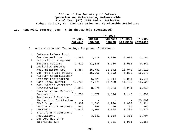|    |                                                              |         |                                                   | FY 2004                          |                         |             |
|----|--------------------------------------------------------------|---------|---------------------------------------------------|----------------------------------|-------------------------|-------------|
|    |                                                              |         | FY 2003 Budget                                    |                                  | Current FY 2004 FY 2005 |             |
|    |                                                              | Actuals |                                                   | Request Approp Estimate Estimate |                         |             |
|    |                                                              |         |                                                   |                                  |                         |             |
|    | 7. Acquisition and Technology Programs (Continued)           |         |                                                   |                                  |                         |             |
|    | h. Defense Reform Proj.                                      |         |                                                   |                                  |                         |             |
|    | for Competition 1,882 2,578 2,030                            |         |                                                   |                                  | 2,030                   | 2,755       |
|    | i. Acquisition Programs                                      |         |                                                   |                                  |                         |             |
|    | Support Systems 2,419 11,888 8,935 8,935 9,441               |         |                                                   |                                  |                         |             |
|    | j. Logistics Systems                                         |         |                                                   |                                  |                         |             |
|    | Modernization Spt 8,384 15,782 11,042 11,042                 |         |                                                   |                                  |                         | 16,112      |
| k. | Def Proc & Acq Policy - 15,365 6,892 6,892                   |         |                                                   |                                  |                         | 15,178      |
|    | 1. Mission Capabilities/                                     |         |                                                   |                                  |                         |             |
|    | Systems Engineering - 6,724 5,014 5,014 6,641                |         |                                                   |                                  |                         |             |
|    | m. Base Info. System  10,736  21,471  11,469  11,469  15,523 |         |                                                   |                                  |                         |             |
|    | n. Acquisition Workforce                                     |         |                                                   |                                  |                         |             |
|    | Demonstration                                                |         | 3,393 3,876 2,204                                 |                                  |                         | 2,204 2,846 |
|    | o. Environmental Security                                    |         |                                                   |                                  |                         |             |
|    | Cooperation                                                  | 1,238   | 1,879                                             | 1,146                            | 1,146                   | 1,831       |
|    | p. Readiness & Environ                                       |         |                                                   |                                  |                         |             |
|    | Protection Initiative -                                      |         |                                                   |                                  |                         | 20,000      |
|    | q. BRAC Support 2,300                                        |         |                                                   | 2,593 1,930                      |                         | 1,930 2,324 |
| r. | LO/CLO Export Process 555 259 196 196 266                    |         |                                                   |                                  |                         |             |
|    | s. Deskbook 1,672 3,306 3,304                                |         |                                                   |                                  | 3,304                   | 3,321       |
|    | t. Transform Procurement                                     |         |                                                   |                                  |                         |             |
|    | Regulations                                                  |         | $\frac{1}{2}$ and $\frac{1}{2}$ and $\frac{1}{2}$ | 3,841 3,388                      | 3,388                   | 3,794       |
|    | u. Def Acq Mgt Info                                          |         |                                                   |                                  |                         |             |
|    | Retrieval Sys                                                |         |                                                   | 1,951                            | 1,951                   | 2,365       |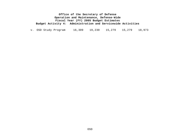v. OSD Study Program 16,309 19,230 15,279 15,279 18,973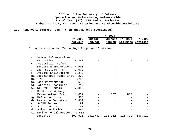## **II. Financial Summary (O&M: \$ in Thousands): (Continued)**

|                |                 | FY 2004 |                          |         |
|----------------|-----------------|---------|--------------------------|---------|
| <b>FY 2003</b> | Budget          |         | Current FY 2004          | FY 2005 |
|                | Actuals Request |         | Approp Estimate Estimate |         |

7. Acquisition and Technology Programs (Continued)

| w.    | Commercial Practices               |         |         |     |                 |         |
|-------|------------------------------------|---------|---------|-----|-----------------|---------|
|       | Initiative                         | 8,363   |         |     |                 |         |
| х.    | Acquisition Reform                 |         |         |     |                 |         |
|       | Support & Improvement              | 4,990   |         |     |                 |         |
| У.    | Open Systems Arch.                 | 1,072   |         |     |                 |         |
| $z$ . | Systems Engineering                | 2,270   |         |     |                 |         |
|       | aa. Sustainable Range Init         | 200     |         |     |                 |         |
|       | ab. CTMA                           | 5,750   |         |     |                 |         |
|       | ac. Past Performance               | 549     |         |     |                 |         |
|       | ad. Material Readiness             | 715     |         |     |                 |         |
|       | ae. I&E BMMP Domain                | 2,000   |         |     |                 |         |
|       | af. Readiness & Range              |         |         |     |                 |         |
|       | Preservation Init.                 | 1,032   |         | 807 | 807             |         |
|       | ag. DAR Automation                 | 363     |         |     |                 |         |
|       | ah. Wearable Computers             | 3,400   |         |     |                 |         |
|       | ai. SADBU Support                  | 97      |         |     |                 |         |
|       | aj. AT&L Admin Spt                 | 1,147   |         |     |                 |         |
|       | ak. Joint Logistics                | 3,599   |         |     |                 |         |
|       | al. Environmental Restor. __ 2,683 |         |         |     |                 |         |
|       | Subtotal                           | 109,926 | 141,742 |     | 115,712 115,712 | 156,027 |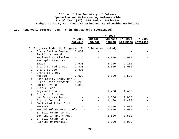|                      |                                                       |         |                   | FY 2004 |                          |                |
|----------------------|-------------------------------------------------------|---------|-------------------|---------|--------------------------|----------------|
|                      |                                                       | FY 2003 | Budget            | Current | $\overline{FY}$ 2004     | <b>FY 2005</b> |
|                      |                                                       | Actuals | Request           |         | Approp Estimate Estimate |                |
|                      | 6. Programs Added by Congress (Not Otherwise Listed): |         |                   |         |                          |                |
|                      | a. Clara Barton Center                                | 3,000   |                   |         |                          |                |
|                      | b. Pacific Command                                    |         |                   |         |                          |                |
|                      |                                                       | 5,116   |                   | 14,000  | 14,000                   |                |
|                      | Regional Initiative                                   |         | $\qquad \qquad -$ |         |                          |                |
| $\mathsf{C}$ .       | Intrepid Sea-Air-<br>Space                            | 2,500   |                   | 2,100   | 2,100                    |                |
|                      | Grant to Red Cross                                    |         |                   | 5,000   | 5,000                    |                |
| d.                   | Grant to USO                                          | 2,800   |                   |         |                          |                |
| e <sub>1</sub><br>f. |                                                       | 2,800   |                   |         |                          |                |
|                      | Grant to D-Day<br>Museum                              |         |                   |         |                          |                |
|                      |                                                       | 3,000   |                   | 3,500   | 3,500                    |                |
| $g$ .                | Feasibility Study Natl.                               |         |                   |         |                          |                |
|                      | Fiber Optic Network                                   | 1,250   |                   |         |                          |                |
| h.                   | SOLIC PSYOPS                                          | 6,000   |                   |         |                          |                |
| i.                   | Middle East                                           |         |                   |         |                          |                |
|                      | Regional Study                                        |         |                   | 1,400   | 1,400                    |                |
| j.                   | Study on Internet                                     |         |                   |         |                          |                |
|                      | and Wireless Tech.                                    |         |                   | 1,000   | 1,000                    |                |
| k.                   | Export Control                                        |         |                   | 1,400   | 1,400                    |                |
| 1.                   | Dedicated Fiber Optic                                 |         |                   |         |                          |                |
|                      | Network                                               |         |                   | 1,500   | 1,500                    |                |
| m <sub>1</sub>       | Beyond Goldwater-Nichols                              |         |                   | 1,000   | 1,000                    |                |
| n.                   | S. 8112 Grant to Ft.                                  |         |                   |         |                          |                |
|                      | Benning Infantry Mus.                                 |         | $-$               | 8,500   | 8,500                    |                |
| $\circ$ .            | S. 8112 Grant to S.                                   |         |                   |         |                          |                |
|                      | Florida University                                    |         |                   | 6,000   | 6,000                    |                |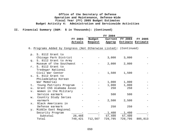|       |                                                                   |         |         | FY 2004 |                   |         |
|-------|-------------------------------------------------------------------|---------|---------|---------|-------------------|---------|
|       |                                                                   | FY 2003 | Budget  | Current | FY 2004           | FY 2005 |
|       |                                                                   | Actuals | Request | Approp  | Estimate Estimate |         |
|       | 6. Programs Added by Congress (Not Otherwise Listed): (Continued) |         |         |         |                   |         |
|       |                                                                   |         |         |         |                   |         |
|       | p. S. 8112 Grant to                                               |         |         |         |                   |         |
|       | Chicago Park District                                             |         |         | 3,000   | 3,000             |         |
|       | q. S. 8112 Grant to Army                                          |         |         |         |                   |         |
|       | Museum of the Southwest                                           |         |         | 2,000   | 2,000             |         |
| $r$ . | S. 8112 Grant to                                                  |         |         |         |                   |         |
|       | Tredegar National                                                 |         |         |         |                   |         |
|       | Civil War Center                                                  |         |         | 1,500   | 1,500             |         |
| $S$ . | S. 8112 Grant to                                                  |         |         |         |                   |         |
|       | Philadelphia Korean                                               |         |         |         |                   |         |
|       | War Memorial                                                      |         |         | 1,000   | 1,000             |         |
| t.    | Young Patriots Program                                            |         |         | 1,000   | 1,000             |         |
| u.    | Grant CSS Alabama Assoc                                           |         |         | 250     | 250               |         |
| v.    | Women in the Military                                             |         |         |         |                   |         |
|       | Service earmark                                                   |         |         | 500     | 500               |         |
| w.    | Country Study Series                                              |         |         |         |                   |         |
|       | earmark                                                           |         |         | 2,500   | 2,500             |         |
| $X$ . | Black Americans in                                                |         |         |         |                   |         |
|       | Defense earmark                                                   |         |         | 250     | 250               |         |
| У.    | Middle East Regional                                              |         |         |         |                   |         |
|       | Security Program                                                  |         |         | 1,400   | 1,400             |         |
|       | Subtotal                                                          | 26,466  |         | 57,400  | 57,400            |         |
|       | Total                                                             | 749,421 | 712,567 | 729,795 | 729,795           | 805,813 |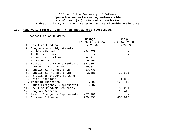## **II. Financial Summary (O&M: \$ in Thousands): (Continued)**

## B. Reconciliation Summary:

|                                   | Change          | Change          |
|-----------------------------------|-----------------|-----------------|
|                                   | FY 2004/FY 2004 | FY 2004/FY 2005 |
| 1. Baseline Funding               | 712,567         | 729,795         |
| 2. Congressional Adjustments      |                 |                 |
| a. Distributed                    | $-84,879$       |                 |
| b. Undistributed                  |                 |                 |
| c. Gen. Provisions                | 24,220          |                 |
| d. Earmarks                       | 9,593           |                 |
| 3. Appropriated Amount (Subtotal) | 661,501         |                 |
| 4. Fact of Life Changes           | 29,647          |                 |
| 5. Functional Transfers-In        | 33,735          |                 |
| 6. Functional Transfers-Out       | $-2,588$        | $-23,601$       |
| 7. PY Balance Brought Forward     |                 |                 |
| 8. Price Increases                |                 | 11,825          |
| 9. Program Increases              | 7,500           | 165,410         |
| 10. Plus: Emergency Supplemental  | 57,902          |                 |
| 11. One-Time Program Decreases    |                 | $-58,201$       |
| 12. Program Decreases             |                 | $-19,415$       |
| 13. Less: Emergency Supplemental  | $-57,902$       |                 |
| 14. Current Estimate              | 729,795         | 805,813         |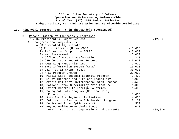| Reconciliation of Increases & Decreases:<br>$C$ . |           |           |
|---------------------------------------------------|-----------|-----------|
| FY 2004 President's Budget Request                |           | 712,567   |
| 1. Congressional Adjustments                      |           |           |
| a. Distributed Adjustments                        |           |           |
| 1) Public Affairs (Under COSS)                    | $-10,000$ |           |
| 2) Information Support to SOLIC                   | $-13,000$ |           |
| 3) Net Assessment                                 | $-5,000$  |           |
| 4) Office of Force Transformation                 | $-1,200$  |           |
| 5) OSD Contracts and Other Support                | $-10,000$ |           |
| 6) PA&E Long-Range Planning                       | $-2,579$  |           |
| 7) Base Information System (AT&L)                 | $-10,000$ |           |
| 8) C4I Program Growth (C3I)                       | $-30,000$ |           |
| 9) AT&L Program Growth                            | $-30,000$ |           |
| 10) Middle East Regional Security Program         | 1,400     |           |
| 11) Study Internet and Wireless Technology        | 1,000     |           |
| 12) Arctic Military Environmental Coop Program    | 2,500     |           |
| 13) Command Info. Superiority Architecture        | 1,000     |           |
| 14) Export Control to Foreign Countries           | 1,400     |           |
| 15) Young Patriots Program (National Flag         |           |           |
| Foundation)                                       | 1,000     |           |
| 16) Asia Pacific Regional Initiative              | 14,000    |           |
| 17) Information Assurance Scholarship Program     | 2,100     |           |
| 18) Dedicated Fiber Optic Network                 | 1,500     |           |
| 19) Beyond Goldwater-Nichols Study                | 1,000     |           |
| Total Distributed Congressional Adjustments       |           | $-84,879$ |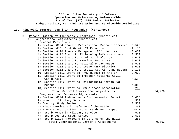| Reconciliation of Increases & Decreases: (Continued)<br>$\mathsf{C}$ . |          |        |
|------------------------------------------------------------------------|----------|--------|
| Congressional Adjustments (Continued)<br>1.                            |          |        |
| b. General Provisions                                                  |          |        |
| 1) Section 8094 Prorate Professional Support Services                  | $-3,520$ |        |
| 2) Section 8101 Cost Growth IT Reduction                               | $-2,110$ |        |
| 3) Section 8126 Prorate Management Efficiencies                        | $-3,000$ |        |
| 4) Section 8112 Grant to Ft Benning Infantry Museum                    | 8,500    |        |
| 5) Section 8112 Grant to U. of South Florida                           | 6,000    |        |
| 6) Section 8112 Grant to American Red Cross                            | 5,000    |        |
| 7) Section 8112 Grant to National D-Day Museum                         | 3,500    |        |
| 8) Section 8112 Grant to Chicago Park District                         | 3,000    |        |
| 9) Section 8112 Grant to Intrepid Sea Air-Land-Museum                  | 2,100    |        |
| 10) Section 8112 Grant to Army Museum of the SW                        | 2,000    |        |
| 11) Section 8112 Grant to Tredegar National Civil                      |          |        |
| War Museum                                                             | 1,500    |        |
| 12) Section 8112 Grant to Philadelphia Korean War                      |          |        |
| Museum                                                                 | 1,000    |        |
| 13) Section 8112 Grant to CSS Alabama Association                      | 250      |        |
| Total General Provisional Adjustments                                  |          | 24,220 |
| c. Congressional Earmarks Adjustments                                  |          |        |
| 1) Section 8044 Indian Lands Environmental Impact                      | 10,000   |        |
| 2) Women in Military Service                                           | 500      |        |
| 3) Country Study Series                                                | 2,500    |        |
| 4) Black Americans in Defense of the Nation                            | 250      |        |
| 5) Prorate Section 8044 Indian Lands Env. Impact                       | $-407$   |        |
| 6) Absorb Women in Military Service                                    | $-500$   |        |
| 7) Absorb Country Study Series                                         | $-2,500$ |        |
| 8) Absorb Black Americans in Defense of the Nation                     | $-250$   |        |
| Total Congressional Earmarks Adjustments                               |          | 9,593  |
|                                                                        |          |        |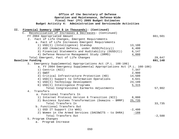## **Office of the Secretary of Defense Operation and Maintenance, Defense-Wide Fiscal Year (FY) 2005 Budget Estimates Budget Activity 4: Administration and Servicewide Activities II. Financial Summary (O&M \$ in Thousands): (Continued)** C. Reconciliation of Increases & Decreases: (Continued) FY 2004 Appropriated Amount 661,501 2. Fact of Life Changes, Emergent Requirements a. Fact of Life Increases Emergent Requirements 1) USD(I) (Intelligence) Standup 13,100 2) ASD (Homeland Defense, under OUSD(Policy)) 6,400 3) Financial Statements and Auditability (OUSD(C)) 6,147 4) Defense Resource Management Study (DRMS) 4,000 Total Emergent, Fact of Life Changes 29,647 **Baseline Funding 691,148** 3. Emergency Supplemental Appropriations Act (P.L. 108-106) a. FY 2004 Emergency Supplemental Appropriations Act (P.L. 108-106) 1) Centrix (NII) 7,347<br>2) GWOT 2,900 2) GWOT 2,900 3) Critical Infrastructure Protection (HD) 14,500 4) USD(I) Support to Information Operations 4,641 5) USD(I) Technology Development 23,199 6) USD(I) Intelligence Programs 5,315 Total Congressional Earmarks Adjustments 57,902 4. Transfers a. Functional Transfers In 1) Internet Protocol Version 6 Transition (NII) 8,000 2) Business Systems Transformation (Domains – BMMP) 25,735 Total Transfers In 33,735 b. Functional Transfers Out 1) OSD IT Support (to WHS)  $-2,400$ 2) Women in the Armed Services (DACOWITS - to DHRA) -188 Total Transfers Out  $-2,588$ 5. Program Changes

a. Program Increase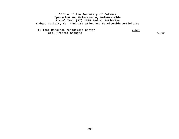1) Test Resource Management Center 7,500 Total Program Changes 7,500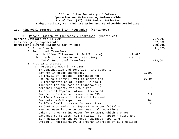| C. Reconciliation of Increases & Decreases: (Continued)    |           |           |
|------------------------------------------------------------|-----------|-----------|
| Current Estimate for FY 2004                               |           | 787,697   |
| Less Emergency Supplemental                                |           | $-57,902$ |
| Normalized Current Estimate for FY 2004                    |           | 729,795   |
| 6. Price Growth                                            |           | 11,825    |
| 7. Functional Transfers                                    |           |           |
| a. Gulf War Illnesses (to DHP/Tricare)                     | $-9,896$  |           |
| b. Technology Development (to USAF)                        | $-13,705$ |           |
| Total Functional Transfers                                 |           | $-23,601$ |
| 8. Program Increases                                       |           |           |
| a. Program Growth in FY 2005                               |           |           |
| 1) Compensation and Benefits - Increased to                |           |           |
| pay for In-grade increases.                                | 1,199     |           |
| 2) Travel of Persons - Increased for                       |           |           |
| Return to a normal level of operations.                    | 2,394     |           |
| 3) Transportation of Things - A small                      |           |           |
| increase for the cost of transporting                      |           |           |
| personal property for new hires.                           |           | 6         |
| 4) Official Representation - Increased                     |           |           |
| for fact-of-life requirements in OSD.                      |           | 212       |
| 5) IPA - Increase for fact of life need                    |           |           |
| for outside-DoD expertise.                                 |           | 984       |
| 6) PCS - Small increase for new hires.                     |           | 31        |
| 7) Contracts and Other Support Services (COSS) -           |           |           |
| The increase is due to congressional reductions            |           |           |
| taken on program increases for FY 2004, which are not      |           |           |
| extended to FY 2005 (\$11.5 million for Public Affairs and |           |           |
| \$1.4 million for the Defense Readiness Reporting          |           |           |
| System). Additionally, a program increase of \$1.1 million |           |           |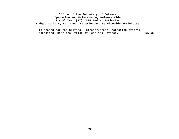is needed for the Critical Infrastructure Protection program operating under the Office of Homeland Defense. 13,836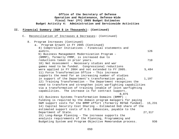#### **II. Financial Summary (O&M \$ in Thousands): (Continued)**

#### C. Reconciliation of Increases & Decreases: (Continued)

8. Program Increases (Continued) a. Program Growth in FY 2005 (Continued) 8) Comptroller Initiatives – Financial statements and audits. 126 9) Business Management Modernization Program – (BMMP), formerly FMMP, is increased due to reductions taken in prior years. The control of the matrix of  $710$  10) Net Assessment – Necessary studies and war games need to be funded. Congressional reductions were applied in FY 2004 and not extended to FY 2005. 5,484 11) Force Transformation Office – This increase supports the need for an increasing number of studies in support of the Department's transformation goals.  $1,197$ 12) Training Transformation – The Department recognizes the need to transform and strengthen joint warfighting capabilities via a transformation of training (enable of joint warfighting capabilities. The increase is for contract support. 8,875 13) Business Systems Transformation Domains (BMMP) – Funding is required by the domain program managers for paying O&M support costs for the BMMP effort (formerly RDT&E funded). 15,231 14) Capital Security Cost Sharing – Estimated DoD share of the estimated support costs of U.S. Embassies, payable to the Department of State. 27,317 15) Long-Range Planning – The increase supports the analysis requirements of the Planning, Programming and Budgeting System and Program Objective Memorandum process. 936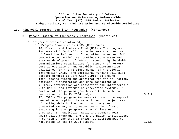- C. Reconciliation of Increases & Decreases: (Continued)
	- 8. Program Increases (Continued)
		- a. Program Growth in FY 2005 (Continued) 16) Mission and Analysis Fund (NII) – The program increase will fund efforts to improve the coordination of Sensitive Information Integration to support DoD compartmented activities; continue to oversee and examine development of DoD high-speed, high bandwidth communications capabilities for support of network centric operations; and establish implementation guidelines for the wireless domain of the Global Information Grid. The additional funding will also support efforts to work with USD(I) to ensure intelligence system and architectures for collection, analysis, dissemination and data management of military information are consistent and interoperable with DoD C3 and information-enterprise systems. A portion of the program growth is attributable to reductions in the FY 2004 budget. 3,912 17) ISIS - The program increase will continue support needed to accomplish the network centric objectives of getting data to the user in a timely and protected manner; and greater oversight of major space acquisition programs, special interest programs, IT Acquisition Rapid Improvement Team (RIT) pilot programs, and transformation initiatives. A portion of the program growth is attributable to reductions in the FY 2004 budget. 1,138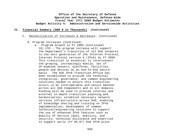- C. Reconciliation of Increases & Decreases: (Continued)
	- 8. Program Increases (Continued)
		- a. Program Growth in FY 2005 (Continued) 18) CIO – The program increase will support the Department's transition of all DoD networks to the next generation of the Internet Protocol, Internet Protocol version 6 (IPv6) by FY 2008. This transition is essential to interconnect the growing, increasingly mobile, set of IP-enabled sensors, platforms, facilities, people and devices on an end-to-end secure basis. The DoD IPv6 Transition Office has been established to provide the technical integration, governance, and common engineering solutions needed to ensure this transition occurs in an interoperable and secure mannner across all DoD Components and in all domains. Funding will be used to provide internal and external in-depth transition planning and harmonization; establish necessary network services infrastructure across DoD; enabling of knowledge sharing and training on IPv6 implementation; development of common technical/engineering solutions to support the use of enhanced IPv6 features such as Quality of Service (QoS), mobility, and security; technical assistance and expertise to support early (FY 05-07) DoD IPv6 pilot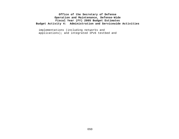implementations (including networks and applications); and integrated IPv6 testbed and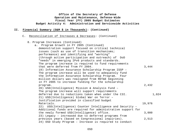|     | Office of the Secretary of Defense<br>Operation and Maintenance, Defense-Wide |        |
|-----|-------------------------------------------------------------------------------|--------|
|     | Fiscal Year (FY) 2005 Budget Estimates                                        |        |
|     | Budget Activity 4: Administration and Servicewide Activities                  |        |
| II. | Financial Summary (O&M \$ in Thousands): (Continued)                          |        |
|     | Reconciliation of Increases & Decreases: (Continued)<br>$\mathsf{C}$ .        |        |
|     | 8. Program Increases (Continued)                                              |        |
|     | a. Program Growth in FY 2005 (Continued)                                      |        |
|     | demonstration support focused on critical technical                           |        |
|     | issues (such as use of transition mechanisms;                                 |        |
|     | performance) and identifying and "working"                                    |        |
|     | (through active participation and outreach) of DoD                            |        |
|     | "needs" in emerging IPv6 products and standards.                              |        |
|     | The program increase is required to fund requirements                         |        |
|     | that were deferred from FY 2004.                                              | 3,444  |
|     | 19) Information Assurance Scholarship Program ISSP -                          |        |
|     | The program increase will be used to adequately fund                          |        |
|     | the Information Assurance Scholarship Program.<br>Four                        |        |
|     | million dollars was realigned from RDT&E beginning                            |        |
|     | in FY 2005 to increase funding for the scholarship                            |        |
|     | program.<br>20) USD(Intelligence) Mission & Analysis Fund -                   | 2,432  |
|     | The program increase will support requirements                                |        |
|     | deferred due to reductions taken when under the C3I.                          | 1,024  |
|     | 21) USD(Intelligence) Global War on Terror -                                  |        |
|     | Justification provided in classified budget                                   |        |
|     | Materials.                                                                    | 19,976 |
|     | 22) USD(Intelligence) Counter Intelligence and Security -                     |        |
|     | Additional funds are required for administrative support for                  |        |
|     | the newly formed USD(Intelligence) office.                                    | 3,000  |
|     | 23) Legacy - increased due to deferred programs from                          |        |
|     | previous years (based on Congressional inquiries).                            | 2,513  |
|     | 24) OSD Study Program - Increase is required to conduct                       |        |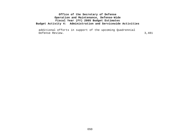additional efforts in support of the upcoming Quadrennial Defense Review. 3,481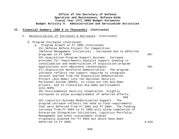| Office of the Secretary of Defense                           |
|--------------------------------------------------------------|
| Operation and Maintenance, Defense-Wide                      |
| Fiscal Year (FY) 2005 Budget Estimates                       |
| Budget Activity 4: Administration and Servicewide Activities |

## **II. Financial Summary (O&M \$ in Thousands): (Continued)**

C. Reconciliation of Increases & Decreases: (Continued)

| 8. Program Increases (Continued)                                                                       |       |
|--------------------------------------------------------------------------------------------------------|-------|
| Program Growth in FY 2005 (Continued)<br>$a$ .                                                         |       |
| 25) Defense Reform Project for Competition                                                             |       |
| (Defense Management Initiative) - Increased due to deferred                                            |       |
| programs in FY 2004.                                                                                   | 697   |
| 26) Acquisition Program Support Systems - Increase                                                     |       |
| provides for requirements analysis support leading to                                                  |       |
| consolidation and modernization of acquisition program                                                 |       |
| applications with eBusiness technologies.                                                              | 381   |
| 27) Acquisition Workforce Demonstration - The program                                                  |       |
| increase reflects the support required to integrate                                                    |       |
| lessons learned from the Acquisition Demonstration                                                     |       |
| Project (Acq Demo) into the National Security                                                          |       |
| Personnel System (NSPS), to close-out the Acq Demo<br>project, and to transition Acq Demo participants |       |
| into NSPS.                                                                                             | 612   |
| 28) Environmental Security Cooperation- Slightly                                                       |       |
| increased to allow accomplishment of deferred efforts.                                                 |       |
| 669                                                                                                    |       |
| 29) Logistics Systems Modernization Support - The                                                      |       |
| program increase reflects the need to fund requirements                                                |       |
| that were deferred from FY 2003 and FY 2004. The funding                                               |       |
| increase from FY 2004 to FY 2005 will allow completion of                                              |       |
| Enterprise Integration Initiatives, Logistics Portfolio                                                |       |
| Management and other sustainment studies                                                               |       |
| originally planned for FY 2004 but which have been                                                     |       |
| deferred to FY 2005.                                                                                   | 4,916 |
|                                                                                                        |       |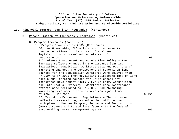|  |                | Fiscal Year (FY) 2005 Budget Estimates<br>Budget Activity 4: Administration and Servicewide Activities                                                                                                                                                                                                                                                                                                                                                                                                                                                                                                                                    |       |
|--|----------------|-------------------------------------------------------------------------------------------------------------------------------------------------------------------------------------------------------------------------------------------------------------------------------------------------------------------------------------------------------------------------------------------------------------------------------------------------------------------------------------------------------------------------------------------------------------------------------------------------------------------------------------------|-------|
|  |                | II. Financial Summary (O&M \$ in Thousands): (Continued)                                                                                                                                                                                                                                                                                                                                                                                                                                                                                                                                                                                  |       |
|  | $\mathsf{C}$ . | Reconciliation of Increases & Decreases: (Continued)                                                                                                                                                                                                                                                                                                                                                                                                                                                                                                                                                                                      |       |
|  |                | 8. Program Increases (Continued)<br>a. Program Growth in FY 2005 (Continued)<br>30) Low Observable, CLO - This small increase is<br>due to reductions to the current fiscal year in<br>legislation which resulted in deferral of<br>requirements.                                                                                                                                                                                                                                                                                                                                                                                         | 68    |
|  |                | 31) Defense Procurement and Acquisition Policy - The<br>increase reflects changes in the distance learning<br>initiatives, acquisition workforce data and DoD "brand"<br>marketing changes. The development of several on-line<br>courses for the acquisition workforce were delayed from<br>FY 2004 to FY 2005 from developing guidebooks into on-line<br>continuous learning courses for Joint Capability<br>Integrated Development (JCID), Evolutionary Acquisition<br>and Intellectual Property. Workforce data maintenance<br>efforts were realigned to FY 2005. DoD "branding"<br>marketing development efforts were realigned from |       |
|  |                | FY 2004 to FY 2005.<br>32) Transform Procurement Regulations - The increase<br>reflects increased program value that will be used<br>to implement the new Program, Guidance and Instructions                                                                                                                                                                                                                                                                                                                                                                                                                                              | 8,190 |

(PGI) document and to add interfaces with the federal

**Office of the Secretary of Defense Operation and Maintenance, Defense-Wide**

e-Rulemaking Docket Management System. 359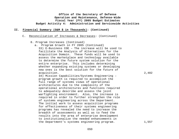#### **II. Financial Summary (O&M \$ in Thousands): (Continued)**

- C. Reconciliation of Increases & Decreases: (Continued)
	- 8. Program Increases (Continued)
		- a. Program Growth in FY 2005 (Continued) 33) E-Business COE – The increase will be used to facilitate the Analysis of Alternatives for the Acquisition Domain. These funds will be used to assess the marketplace and technology available to determine the future system solution for the entire enterprise. This includes determining whether expanding existing systems or developing new ones is the best solution for the future of acquisition. 2,482

34) Mission Capabilities/Systems Engineering – program growth is required to accomplish the full range of systems views of operational architectures due to the complexity of the operational architectures and functions required to adequately describe and assess the joint warfighting environment. Also, the increase is required in order to further strengthen the role of systems engineering across the Department. The initial work to assess acquisition programs for effectiveness of their systems engineering programs has revealed the need to increase the breadth of assessments as well as to feed the results into the area of enterprise development to institutionalize the needed enhancements in the Department's systems engineering program. 1,557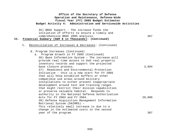|     | Office of the Secretary of Defense<br>Operation and Maintenance, Defense-Wide<br>Fiscal Year (FY) 2005 Budget Estimates<br>Budget Activity 4: Administration and Servicewide Activities                                                                                                                                                                                                                                                                                                                                                     |               |
|-----|---------------------------------------------------------------------------------------------------------------------------------------------------------------------------------------------------------------------------------------------------------------------------------------------------------------------------------------------------------------------------------------------------------------------------------------------------------------------------------------------------------------------------------------------|---------------|
| II. | 35) BRAC Support - The increase funds the<br>initiation of efforts to ensure a timely and<br>comprehensive BRAC 2005 analysis.<br>Financial Summary (O&M \$ in Thousands): (Continued)                                                                                                                                                                                                                                                                                                                                                      | 367           |
|     | Reconciliation of Increases & Decreases: (Continued)<br>$\mathsf{C}$ .                                                                                                                                                                                                                                                                                                                                                                                                                                                                      |               |
|     | 8. Program Increases (Continued)<br>a. Program Growth in FY 2005 (Continued)<br>36) Base Information System - The increase will<br>provide real time access to DoD real property<br>inventory records and support the projected<br>base closure process.<br>37) Readiness and Environmental Protection<br>Initiative - this is a new start for FY 2005<br>that will help establish buffers or other<br>compatible use areas around military<br>installations to either prevent inappropriate<br>development around test and training ranges | 3,894         |
|     | that might restrict their mission capabilities<br>or preserve valuable habitat. Responds to<br>authority in the National Defense Authorization<br>Acts for FY 2003 and FY 2004.<br>38) Defense Acquisition Management Information<br>Retrieval System (DAIMRS) -<br>This relatively small increase is due to a<br>change in the estimated costs in the second<br>year of the program.                                                                                                                                                       | 20,000<br>387 |
|     |                                                                                                                                                                                                                                                                                                                                                                                                                                                                                                                                             |               |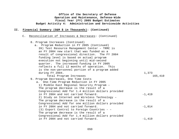|                | Office of the Secretary of Defense<br>Operation and Maintenance, Defense-Wide<br>Fiscal Year (FY) 2005 Budget Estimates<br>Budget Activity 4: Administration and Servicewide Activities                                                                                                                                                                                                                                                                                                                               |                       |
|----------------|-----------------------------------------------------------------------------------------------------------------------------------------------------------------------------------------------------------------------------------------------------------------------------------------------------------------------------------------------------------------------------------------------------------------------------------------------------------------------------------------------------------------------|-----------------------|
| II.            | Financial Summary (O&M \$ in Thousands): (Continued)                                                                                                                                                                                                                                                                                                                                                                                                                                                                  |                       |
| $\mathsf{C}$ . | Reconciliation of Increases & Decreases: (Continued)                                                                                                                                                                                                                                                                                                                                                                                                                                                                  |                       |
|                | 8. Program Increases (Continued)<br>a. Program Reduction in FY 2005 (Continued)<br>39) Test Resource Management Center - TRMC is<br>an FY 2004 new start that was funded as a<br>result of congressional direction. The FY 2004<br>funding level is based on actual program<br>execution not beginning until mid-second<br>quarter. The increased funding in FY 2005<br>reflects a full 12 months of operation. This<br>is the non-personnel portion of a program added<br>during FY 2004.<br>Total Program Increases | 1,373<br>165,410      |
|                | 9. Program Decreases, One Time Costs<br>One-Time Program Reduction in FY 2005<br>$a$ .<br>1) Middle East Regional Security Program -<br>The program decrease is the result of a<br>Congressional Add for 1.4 million dollars provided<br>in FY 2004 and not carried forward.<br>2) Study on Internet and Wireless Technology -<br>The program decrease is the result of a<br>Congressional Add for one million dollars provided                                                                                       | $-1,419$              |
|                | in FY 2004 and not carried forward.<br>(3) Export Control to Foreign Countries - -<br>The program decrease is the result of a<br>Congressional Add for 1.4 million dollars provided<br>in FY 2004 and not carried forward.                                                                                                                                                                                                                                                                                            | $-1,014$<br>$-1, 419$ |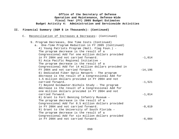| Office of the Secretary of Defense<br>Operation and Maintenance, Defense-Wide<br>Fiscal Year (FY) 2005 Budget Estimates<br>Budget Activity 4: Administration and Servicewide Activities |                                                                                                                                                                                                                                |            |  |  |
|-----------------------------------------------------------------------------------------------------------------------------------------------------------------------------------------|--------------------------------------------------------------------------------------------------------------------------------------------------------------------------------------------------------------------------------|------------|--|--|
| II.                                                                                                                                                                                     | Financial Summary (O&M \$ in Thousands): (Continued)                                                                                                                                                                           |            |  |  |
|                                                                                                                                                                                         | $C_{\bullet}$<br>Reconciliation of Increases & Decreases: (Continued)                                                                                                                                                          |            |  |  |
|                                                                                                                                                                                         | 9. Program Decreases, One Time Costs (Continued)<br>a. One-Time Program Reduction in FY 2005 (Continued)<br>4) Young Patriots Program (Natl. Flag Foun.) -<br>The program decrease is the result of a                          |            |  |  |
|                                                                                                                                                                                         | Congressional Add for one million dollars provided<br>in FY 2004 and not carried forward.<br>5) Asia Pacific Regional Initiative -<br>The program decrease is the result of a                                                  | $-1,014$   |  |  |
|                                                                                                                                                                                         | Congressional Add for 14 million dollars provided in<br>FY 2004 and not carried forward.<br>6) Dedicated Fiber Optic Network - The program<br>decrease is the result of a Congressional Add for                                | $-14, 196$ |  |  |
|                                                                                                                                                                                         | 1.5 million dollars provided in FY 2004 and not<br>carried forward.<br>7) Beyond Goldwater-Nichols Study - The program<br>decrease is the result of a Congressional Add for<br>one million dollars provided in FY 2004 and not | $-1,521$   |  |  |
|                                                                                                                                                                                         | carried forward.<br>8) Grant to Fort Benning Infantry Museum -<br>The program decrease is the result of a<br>Congressional Add for 8.5 million dollars provided                                                                | $-1,014$   |  |  |
|                                                                                                                                                                                         | in FY 2004 and not carried forward.<br>9) Grant to the University of South Florida -<br>The program decrease is the result of a<br>Congressional Add for six million dollars provided                                          | $-8,619$   |  |  |
|                                                                                                                                                                                         | in FY 2004 and not carried forward.                                                                                                                                                                                            | $-6,084$   |  |  |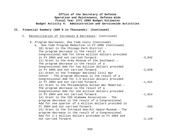|     | Office of the Secretary of Defense<br>Operation and Maintenance, Defense-Wide<br>Fiscal Year (FY) 2005 Budget Estimates<br>Budget Activity 4: Administration and Servicewide Activities                                                           |          |  |  |  |
|-----|---------------------------------------------------------------------------------------------------------------------------------------------------------------------------------------------------------------------------------------------------|----------|--|--|--|
| II. | Financial Summary (O&M \$ in Thousands): (Continued)                                                                                                                                                                                              |          |  |  |  |
|     | Reconciliation of Increases & Decreases: (Continued)<br>$\mathsf{C}$ .                                                                                                                                                                            |          |  |  |  |
|     | 9. Program Decreases, One Time Costs (Continued)<br>a. One-Time Program Reduction in FY 2005 (Continued)<br>10) Grant to the Chicago Park District -<br>The program decrease is the result of a                                                   |          |  |  |  |
|     | Congressional Add for three million dollars provided<br>in FY 2004 and not carried forward.<br>11) Grant to the Army Museum of the Southwest -<br>The program decrease is the result of a                                                         | $-3,042$ |  |  |  |
|     | Congressional Add for two million dollars provided<br>in FY 2004 and not carried forward.<br>12) Grant to the Tredegar National Civil War<br>Center - The program decrease is the result of a                                                     | $-2,028$ |  |  |  |
|     | Congressional Add for 1.5 million dollars provided<br>in FY 2004 and not carried forward.<br>13) Grant to the Philadelphia Korean War Memorial -<br>The program decrease is the result of a<br>Congressional Add for one million dollars provided | $-1,521$ |  |  |  |
|     | in FY 2004 and not carried forward.<br>14) Grant to the CSS Alabama Association - The<br>program decrease is the result of a Congressional<br>Add for one quarter of a million dollars provided in                                                | $-1,014$ |  |  |  |
|     | FY 2004 and not carried forward.<br>15) Grant to the Intrepid Sea-Air-Space Museum - The<br>program decrease is the result of a Congressional<br>Add for 2.1 million dollars provided in FY 2004 and                                              | $-253$   |  |  |  |
|     | not carried forward.                                                                                                                                                                                                                              | $-2,129$ |  |  |  |

# OSD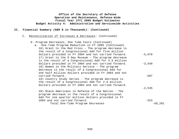## **II. Financial Summary (O&M \$ in Thousands): (Continued)**

### C. Reconciliation of Increases & Decreases: (Continued)

| 9. Program Decreases, One Time Costs (Continued)     |           |
|------------------------------------------------------|-----------|
| a. One-Time Program Reduction in FY 2005 (Continued) |           |
| 16) Grant to the Red Cross - The program decrease is |           |
| the result of a Congressional Add for five million   |           |
| dollars provided in FY 2004 and not carried forward. | $-5,070$  |
| 17) Grant to the D Day Museum - The program decrease |           |
| is the result of a Congressional Add for 3.5 million |           |
| dollars provided in FY 2004 and not carried forward. | $-3,549$  |
| 18) Women in the Military Service - The program      |           |
| decrease is the result of a Congressional Add for    |           |
| one half million dollars provided in FY 2004 and not |           |
| carried forward.                                     | $-507$    |
| 19) Country Study Series - The program decrease is   |           |
| the result of a Congressional Add for 2.5 million    |           |
| dollars provided in FY 2004 and not carried forward. |           |
|                                                      | $-2,535$  |
| 20) Black Americans in Defense of the Nation - The   |           |
| program decrease is the result of a Congressional    |           |
| Add for one quarter million dollars provided in FY   |           |
| 2004 and not carried forward.                        | $-253$    |
| Total One-Time Program Decreases                     | $-58,201$ |
|                                                      |           |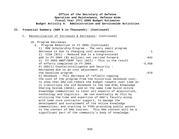- C. Reconciliation of Increases & Decreases: (Continued)
	- 10. Program Decreases

| a. Program Reduction in FY 2005 (Continued)                 |          |
|-------------------------------------------------------------|----------|
| ROK Scholarship Program - The very small program<br>1)      |          |
| decrease is due to changing cost assumptions.               | $-1$     |
| 2) CISA (NII) - Reduced due to a Congressional              |          |
| add in FY 2004 (\$1 million) not carried forward.           | $-842$   |
| 3) FY 2003 GWOT/DERF Tail (NII) - This is the result        |          |
| of efforts completed in FY 2004.                            | $-4,450$ |
| 4) USD(I) Counterintelligence and Security -                |          |
| Decreased due to an cost adjustment in                      |          |
| the baseline program.                                       | $-879$   |
| 5) Deskbook - This decrease of reflects capping             |          |
| the cost of the program from the historical Deskbook cost,  |          |
| to show that DAU can reduce the budget request over time as |          |
| it transitions the old Deskbook to the new AT&L Knowledge   |          |
| Sharing System (AKSS); and at the same time build online    |          |
| knowledge communities to cover all aspects of acquisition,  |          |
| technology and logistics. We can eventually do this by      |          |
| utilizing the time and expertise of DAU's faculty along     |          |
| with some core contractor support, to manage the            |          |
| development and sustainment of the online knowledge         |          |
| communities; and starting in FY05 providing public access   |          |
| to the content of DAU courses. This DAU content will be a   |          |
| significant part of the community's body of knowledge.      |          |
|                                                             |          |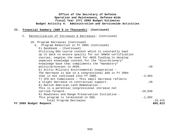| Office of the Secretary of Defense<br>Operation and Maintenance, Defense-Wide<br>Fiscal Year (FY) 2005 Budget Estimates<br>Budget Activity 4: Administration and Servicewide Activities |                                                          |  |  |  |  |  |  |  |
|-----------------------------------------------------------------------------------------------------------------------------------------------------------------------------------------|----------------------------------------------------------|--|--|--|--|--|--|--|
|                                                                                                                                                                                         | II. Financial Summary (O&M \$ in Thousands): (Continued) |  |  |  |  |  |  |  |

C. Reconciliation of Increases & Decreases: (Continued)

```
10. Program Decreases (Continued)
```

| a. Program Reduction in FY 2005 (Continued)              |           |
|----------------------------------------------------------|-----------|
| 5) Deskbook - (Continued)                                |           |
| Utilizing DAU course content which is constantly kept    |           |
| up to date to ensure quality for our DAWIA certification |           |
| courses, negates the need for AKSS funding to develop    |           |
| separate knowledge content for the "discretionary"       |           |
| knowledge base that compliments the "mandatory"          |           |
| policy/processes in AKSS.                                | $-29$     |
| 6) Arctic Military Environmental Cooperation -           |           |
| The decrease is due to a congressional add in FY 2004    |           |
| that is not continued into FY 2005.                      | $-2,054$  |
| 7) CFO Act Compliance - This small decrease reflects     |           |
| a slight decrease in contractual support.                | $-29$     |
| 8) Native American Land Remediation -                    |           |
| This is a perennial congressional increase not           |           |
| carried forward.                                         | $-10,039$ |
| 9) Readiness and Range Preservation Initiative -         |           |
| This program is terminated in OSD.                       | $-1,092$  |
| Total Program Decreases                                  | $-19,415$ |
| FY 2005 Budget Request                                   | 805,813   |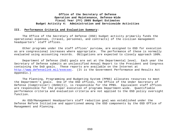#### **III. Performance Criteria and Evaluation Summary:**

The Office of the Secretary of Defense (OSD) budget activity primarily funds the operational expenses, (travel, personnel, and contracts) of the civilian management headquarters' staff offices.

Other programs under the staff offices' purview, are assigned to OSD for execution as are congressional increases where appropriate. The performance of these is normally evaluated using accounting records. Obligations are expected to closely approach 100%.

Department of Defense (DoD) goals are set at the Departmental level. Each year the Secretary of Defense submits an unclassified Annual Report to the President and Congress containing the DoD goals. These reports are available on the Internet at http://www.defenselink.mil/execsec. (It is the Government Performance and Results Act Appendix.)

The Planning, Programming and Budgeting System (PPBS) allocates resources to meet the Department's goals. One of the OSD offices, the Office of the Under Secretary of Defense (Comptroller) (OUSD $(C)$ ), is responsible for the PPBS. Equivalent staff offices are responsible for the proper execution of programs Department-wide. Quantifiable performance criteria and evaluation criteria are not applied to the OSD policy oversight function.

An OSD/Management Headquarters staff reduction goal was established under the Defense Reform Initiative and apportioned among the OSD components by the OSD Office of Management and Planning.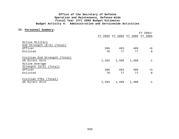#### **IV. Personnel Summary:**

|                                 | FY 2004/ |                         |       |          |  |
|---------------------------------|----------|-------------------------|-------|----------|--|
|                                 |          | FY 2003 FY 2004 FY 2005 |       | FY 2005  |  |
| Active Military                 |          |                         |       |          |  |
| End Strength $(E/S)$<br>(Total) |          |                         |       |          |  |
| Officer                         | 396      | 403                     | 409   | $+6$     |  |
| Enlisted                        | 78       | 77                      | 77    | $\Omega$ |  |
| Civilian End Strength (Total)   |          |                         |       |          |  |
| US Direct Hire                  | 1,393    | 1,489                   | 1,488 | $-1$     |  |
| Active Average                  |          |                         |       |          |  |
| Strength (A/S)<br>(Total)       |          |                         |       |          |  |
| Officer                         | 396      | 403                     | 406   | $+3$     |  |
| Enlisted                        | 78       | 77                      | 77    | $\Omega$ |  |
| Civilian FTEs (Total)           |          |                         |       |          |  |
| US Direct Hire                  | 1,393    | 1,489                   | 1,488 | $-1$     |  |